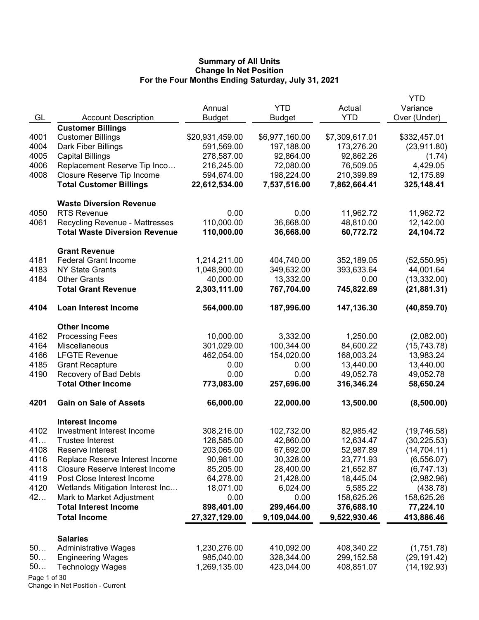|              |                                        |                 |                |                      | <b>YTD</b>   |
|--------------|----------------------------------------|-----------------|----------------|----------------------|--------------|
| GL           | <b>Account Description</b>             | Annual          | <b>YTD</b>     | Actual<br><b>YTD</b> | Variance     |
|              | <b>Customer Billings</b>               | <b>Budget</b>   | <b>Budget</b>  |                      | Over (Under) |
| 4001         | <b>Customer Billings</b>               | \$20,931,459.00 | \$6,977,160.00 | \$7,309,617.01       | \$332,457.01 |
| 4004         | Dark Fiber Billings                    | 591,569.00      | 197,188.00     | 173,276.20           | (23,911.80)  |
| 4005         | <b>Capital Billings</b>                | 278,587.00      | 92,864.00      | 92,862.26            | (1.74)       |
| 4006         | Replacement Reserve Tip Inco           | 216,245.00      | 72,080.00      | 76,509.05            | 4,429.05     |
| 4008         | Closure Reserve Tip Income             | 594,674.00      | 198,224.00     | 210,399.89           | 12,175.89    |
|              | <b>Total Customer Billings</b>         | 22,612,534.00   | 7,537,516.00   | 7,862,664.41         | 325,148.41   |
|              | <b>Waste Diversion Revenue</b>         |                 |                |                      |              |
| 4050         | <b>RTS Revenue</b>                     | 0.00            | 0.00           | 11,962.72            | 11,962.72    |
| 4061         | <b>Recycling Revenue - Mattresses</b>  | 110,000.00      | 36,668.00      | 48,810.00            | 12,142.00    |
|              | <b>Total Waste Diversion Revenue</b>   | 110,000.00      | 36,668.00      | 60,772.72            | 24,104.72    |
|              | <b>Grant Revenue</b>                   |                 |                |                      |              |
| 4181         | <b>Federal Grant Income</b>            | 1,214,211.00    | 404,740.00     | 352,189.05           | (52, 550.95) |
| 4183         | <b>NY State Grants</b>                 | 1,048,900.00    | 349,632.00     | 393,633.64           | 44,001.64    |
| 4184         | <b>Other Grants</b>                    | 40,000.00       | 13,332.00      | 0.00                 | (13, 332.00) |
|              | <b>Total Grant Revenue</b>             | 2,303,111.00    | 767,704.00     | 745,822.69           | (21, 881.31) |
| 4104         | <b>Loan Interest Income</b>            | 564,000.00      | 187,996.00     | 147,136.30           | (40, 859.70) |
|              | <b>Other Income</b>                    |                 |                |                      |              |
| 4162         | <b>Processing Fees</b>                 | 10,000.00       | 3,332.00       | 1,250.00             | (2,082.00)   |
| 4164         | Miscellaneous                          | 301,029.00      | 100,344.00     | 84,600.22            | (15, 743.78) |
| 4166         | <b>LFGTE Revenue</b>                   | 462,054.00      | 154,020.00     | 168,003.24           | 13,983.24    |
| 4185         | <b>Grant Recapture</b>                 | 0.00            | 0.00           | 13,440.00            | 13,440.00    |
| 4190         | Recovery of Bad Debts                  | 0.00            | 0.00           | 49,052.78            | 49,052.78    |
|              | <b>Total Other Income</b>              | 773,083.00      | 257,696.00     | 316,346.24           | 58,650.24    |
| 4201         | <b>Gain on Sale of Assets</b>          | 66,000.00       | 22,000.00      | 13,500.00            | (8,500.00)   |
|              | <b>Interest Income</b>                 |                 |                |                      |              |
| 4102         | Investment Interest Income             | 308,216.00      | 102,732.00     | 82,985.42            | (19, 746.58) |
| 41           | <b>Trustee Interest</b>                | 128,585.00      | 42,860.00      | 12,634.47            | (30, 225.53) |
| 4108         | Reserve Interest                       | 203,065.00      | 67,692.00      | 52,987.89            | (14, 704.11) |
| 4116         | Replace Reserve Interest Income        | 90,981.00       | 30,328.00      | 23,771.93            | (6, 556.07)  |
| 4118         | <b>Closure Reserve Interest Income</b> | 85,205.00       | 28,400.00      | 21,652.87            | (6,747.13)   |
| 4119         | Post Close Interest Income             | 64,278.00       | 21,428.00      | 18,445.04            | (2,982.96)   |
| 4120         | Wetlands Mitigation Interest Inc       | 18,071.00       | 6,024.00       | 5,585.22             | (438.78)     |
| 42           | Mark to Market Adjustment              | 0.00            | 0.00           | 158,625.26           | 158,625.26   |
|              | <b>Total Interest Income</b>           | 898,401.00      | 299,464.00     | 376,688.10           | 77,224.10    |
|              | <b>Total Income</b>                    | 27,327,129.00   | 9,109,044.00   | 9,522,930.46         | 413,886.46   |
|              | <b>Salaries</b>                        |                 |                |                      |              |
| 50           | <b>Administrative Wages</b>            | 1,230,276.00    | 410,092.00     | 408,340.22           | (1,751.78)   |
| 50           | <b>Engineering Wages</b>               | 985,040.00      | 328,344.00     | 299,152.58           | (29, 191.42) |
| 50           | <b>Technology Wages</b>                | 1,269,135.00    | 423,044.00     | 408,851.07           | (14, 192.93) |
| Page 1 of 30 |                                        |                 |                |                      |              |

Change in Net Position - Current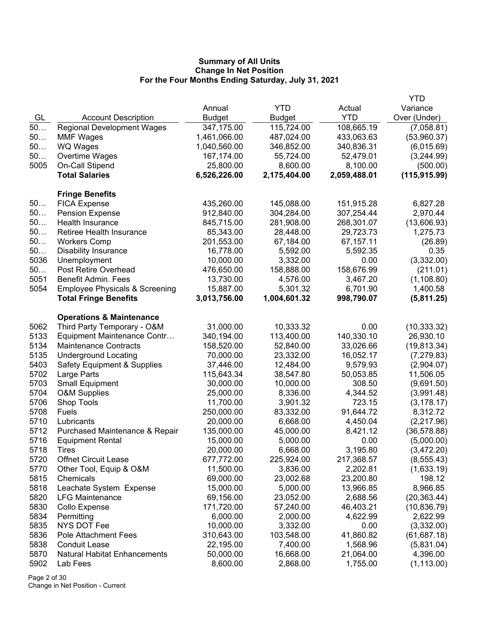|              |                                                 |                        |                       |                       | YTD                     |
|--------------|-------------------------------------------------|------------------------|-----------------------|-----------------------|-------------------------|
|              |                                                 | Annual                 | <b>YTD</b>            | Actual                | Variance                |
| GL           | <b>Account Description</b>                      | <b>Budget</b>          | <b>Budget</b>         | <b>YTD</b>            | Over (Under)            |
| 50           | <b>Regional Development Wages</b>               | 347,175.00             | 115,724.00            | 108,665.19            | (7,058.81)              |
| 50           | <b>MMF Wages</b>                                | 1,461,066.00           | 487,024.00            | 433,063.63            | (53,960.37)             |
| 50           | <b>WQ Wages</b>                                 | 1,040,560.00           | 346,852.00            | 340,836.31            | (6,015.69)              |
| 50           | Overtime Wages                                  | 167,174.00             | 55,724.00             | 52,479.01             | (3,244.99)              |
| 5005         | On-Call Stipend                                 | 25,800.00              | 8,600.00              | 8,100.00              | (500.00)                |
|              | <b>Total Salaries</b>                           | 6,526,226.00           | 2,175,404.00          | 2,059,488.01          | (115, 915.99)           |
|              | <b>Fringe Benefits</b>                          |                        |                       |                       |                         |
| 50           | <b>FICA Expense</b>                             | 435,260.00             | 145,088.00            | 151,915.28            | 6,827.28                |
| 50           | <b>Pension Expense</b>                          | 912,840.00             | 304,284.00            | 307,254.44            | 2,970.44                |
| 50           | Health Insurance                                | 845,715.00             | 281,908.00            | 268,301.07            | (13,606.93)             |
| 50           | Retiree Health Insurance                        | 85,343.00              | 28,448.00             | 29,723.73             | 1,275.73                |
| 50           | <b>Workers Comp</b>                             | 201,553.00             | 67,184.00             | 67,157.11             | (26.89)                 |
| 50           | <b>Disability Insurance</b>                     | 16,778.00              | 5,592.00              | 5,592.35              | 0.35                    |
| 5036         | Unemployment                                    | 10,000.00              | 3,332.00              | 0.00                  | (3,332.00)              |
| 50           | Post Retire Overhead                            | 476,650.00             | 158,888.00            | 158,676.99            | (211.01)                |
| 5051         | <b>Benefit Admin. Fees</b>                      | 13,730.00              | 4,576.00              | 3,467.20              | (1, 108.80)             |
| 5054         | <b>Employee Physicals &amp; Screening</b>       | 15,887.00              | 5,301.32              | 6,701.90              | 1,400.58                |
|              | <b>Total Fringe Benefits</b>                    | 3,013,756.00           | 1,004,601.32          | 998,790.07            | (5,811.25)              |
|              | <b>Operations &amp; Maintenance</b>             |                        |                       |                       |                         |
| 5062         | Third Party Temporary - O&M                     | 31,000.00              | 10,333.32             | 0.00                  | (10, 333.32)            |
| 5133         | Equipment Maintenance Contr                     | 340,194.00             | 113,400.00            | 140,330.10            | 26,930.10               |
| 5134         | <b>Maintenance Contracts</b>                    | 158,520.00             | 52,840.00             | 33,026.66             | (19, 813.34)            |
| 5135         | <b>Underground Locating</b>                     | 70,000.00              | 23,332.00             | 16,052.17             | (7, 279.83)             |
| 5403         | <b>Safety Equipment &amp; Supplies</b>          | 37,446.00              | 12,484.00             | 9,579.93              | (2,904.07)              |
| 5702         | Large Parts                                     | 115,643.34             | 38,547.80             | 50,053.85             | 11,506.05               |
| 5703         | <b>Small Equipment</b>                          | 30,000.00              | 10,000.00             | 308.50                | (9,691.50)              |
| 5704         | <b>O&amp;M Supplies</b>                         | 25,000.00              | 8,336.00              | 4,344.52              | (3,991.48)              |
| 5706         | Shop Tools                                      | 11,700.00              | 3,901.32              | 723.15                | (3, 178.17)             |
| 5708         | Fuels                                           | 250,000.00             | 83,332.00             | 91,644.72             | 8,312.72                |
| 5710         | Lubricants                                      | 20,000.00              | 6,668.00              | 4,450.04              | (2,217.96)              |
| 5712         | Purchased Maintenance & Repair                  | 135,000.00             | 45,000.00             | 8,421.12              | (36, 578.88)            |
| 5716         | <b>Equipment Rental</b>                         | 15,000.00              | 5,000.00              | 0.00                  | (5,000.00)              |
| 5718         | <b>l</b> <i>I</i> res                           | 20,000.00              | 6,668.00              | 3,195.80              | (3,472.20)              |
| 5720         | <b>Offnet Circuit Lease</b>                     | 677,772.00             | 225,924.00            | 217,368.57            | (8, 555.43)             |
| 5770         | Other Tool, Equip & O&M                         | 11,500.00              | 3,836.00              | 2,202.81              | (1,633.19)              |
| 5815         | Chemicals                                       | 69,000.00              | 23,002.68             | 23,200.80             | 198.12                  |
| 5818         | Leachate System Expense                         | 15,000.00              | 5,000.00              | 13,966.85             | 8,966.85                |
| 5820         | <b>LFG Maintenance</b>                          | 69,156.00              | 23,052.00             | 2,688.56              | (20, 363.44)            |
| 5830         | Collo Expense                                   | 171,720.00             | 57,240.00             | 46,403.21             | (10, 836.79)            |
| 5834         | Permitting                                      | 6,000.00               | 2,000.00              | 4,622.99              | 2,622.99                |
| 5835         | <b>NYS DOT Fee</b>                              | 10,000.00              | 3,332.00              | 0.00                  | (3,332.00)              |
| 5836         | <b>Pole Attachment Fees</b>                     | 310,643.00             | 103,548.00            | 41,860.82             | (61, 687.18)            |
| 5838<br>5870 | <b>Conduit Lease</b>                            | 22,195.00<br>50,000.00 | 7,400.00              | 1,568.96<br>21,064.00 | (5,831.04)              |
| 5902         | <b>Natural Habitat Enhancements</b><br>Lab Fees | 8,600.00               | 16,668.00<br>2,868.00 | 1,755.00              | 4,396.00<br>(1, 113.00) |
|              |                                                 |                        |                       |                       |                         |

Page 2 of 30 Change in Net Position - Current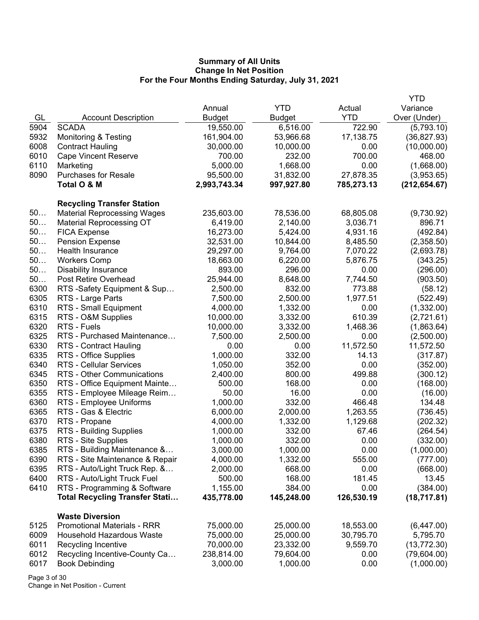|      |                                       |               |               |            | <b>YTD</b>    |
|------|---------------------------------------|---------------|---------------|------------|---------------|
|      |                                       | Annual        | <b>YTD</b>    | Actual     | Variance      |
| GL   | <b>Account Description</b>            | <b>Budget</b> | <b>Budget</b> | <b>YTD</b> | Over (Under)  |
| 5904 | <b>SCADA</b>                          | 19,550.00     | 6,516.00      | 722.90     | (5,793.10)    |
| 5932 | <b>Monitoring &amp; Testing</b>       | 161,904.00    | 53,966.68     | 17,138.75  | (36, 827.93)  |
| 6008 | <b>Contract Hauling</b>               | 30,000.00     | 10,000.00     | 0.00       | (10,000.00)   |
| 6010 | <b>Cape Vincent Reserve</b>           | 700.00        | 232.00        | 700.00     | 468.00        |
| 6110 | Marketing                             | 5,000.00      | 1,668.00      | 0.00       | (1,668.00)    |
| 8090 | <b>Purchases for Resale</b>           | 95,500.00     | 31,832.00     | 27,878.35  | (3,953.65)    |
|      | Total O & M                           | 2,993,743.34  | 997,927.80    | 785,273.13 | (212, 654.67) |
|      |                                       |               |               |            |               |
|      | <b>Recycling Transfer Station</b>     |               |               |            |               |
| 50   | <b>Material Reprocessing Wages</b>    | 235,603.00    | 78,536.00     | 68,805.08  | (9,730.92)    |
| 50   | <b>Material Reprocessing OT</b>       | 6,419.00      | 2,140.00      | 3,036.71   | 896.71        |
| 50   | <b>FICA Expense</b>                   | 16,273.00     | 5,424.00      | 4,931.16   | (492.84)      |
| 50   | <b>Pension Expense</b>                | 32,531.00     | 10,844.00     | 8,485.50   | (2,358.50)    |
| 50   | Health Insurance                      | 29,297.00     | 9,764.00      | 7,070.22   | (2,693.78)    |
| 50   | <b>Workers Comp</b>                   | 18,663.00     | 6,220.00      | 5,876.75   | (343.25)      |
| 50   | <b>Disability Insurance</b>           | 893.00        | 296.00        | 0.00       | (296.00)      |
| 50   | Post Retire Overhead                  | 25,944.00     | 8,648.00      | 7,744.50   | (903.50)      |
| 6300 | RTS -Safety Equipment & Sup           | 2,500.00      | 832.00        | 773.88     | (58.12)       |
| 6305 | RTS - Large Parts                     | 7,500.00      | 2,500.00      | 1,977.51   | (522.49)      |
| 6310 | RTS - Small Equipment                 | 4,000.00      | 1,332.00      | 0.00       | (1,332.00)    |
| 6315 | RTS - O&M Supplies                    | 10,000.00     | 3,332.00      | 610.39     | (2,721.61)    |
| 6320 | RTS - Fuels                           | 10,000.00     | 3,332.00      | 1,468.36   | (1,863.64)    |
| 6325 | RTS - Purchased Maintenance           | 7,500.00      | 2,500.00      | 0.00       | (2,500.00)    |
| 6330 | RTS - Contract Hauling                | 0.00          | 0.00          | 11,572.50  | 11,572.50     |
| 6335 | RTS - Office Supplies                 | 1,000.00      | 332.00        | 14.13      | (317.87)      |
| 6340 | <b>RTS - Cellular Services</b>        | 1,050.00      | 352.00        | 0.00       | (352.00)      |
| 6345 | RTS - Other Communications            | 2,400.00      | 800.00        | 499.88     | (300.12)      |
| 6350 | RTS - Office Equipment Mainte         | 500.00        | 168.00        | 0.00       | (168.00)      |
| 6355 | RTS - Employee Mileage Reim           | 50.00         | 16.00         | 0.00       | (16.00)       |
| 6360 | RTS - Employee Uniforms               | 1,000.00      | 332.00        | 466.48     | 134.48        |
| 6365 | RTS - Gas & Electric                  | 6,000.00      | 2,000.00      | 1,263.55   | (736.45)      |
| 6370 | RTS - Propane                         | 4,000.00      | 1,332.00      | 1,129.68   | (202.32)      |
| 6375 | RTS - Building Supplies               | 1,000.00      | 332.00        | 67.46      | (264.54)      |
| 6380 | RTS - Site Supplies                   | 1,000.00      | 332.00        | 0.00       | (332.00)      |
| 6385 | RTS - Building Maintenance &          | 3,000.00      | 1,000.00      | 0.00       | (1,000.00)    |
| 6390 | RTS - Site Maintenance & Repair       | 4,000.00      | 1,332.00      | 555.00     | (777.00)      |
| 6395 | RTS - Auto/Light Truck Rep. &         | 2,000.00      | 668.00        | 0.00       | (668.00)      |
| 6400 | RTS - Auto/Light Truck Fuel           | 500.00        | 168.00        | 181.45     | 13.45         |
| 6410 | RTS - Programming & Software          | 1,155.00      | 384.00        | 0.00       | (384.00)      |
|      | <b>Total Recycling Transfer Stati</b> |               | 145,248.00    | 126,530.19 | (18, 717.81)  |
|      |                                       | 435,778.00    |               |            |               |
|      | <b>Waste Diversion</b>                |               |               |            |               |
| 5125 | <b>Promotional Materials - RRR</b>    | 75,000.00     | 25,000.00     | 18,553.00  | (6,447.00)    |
| 6009 | <b>Household Hazardous Waste</b>      | 75,000.00     | 25,000.00     | 30,795.70  | 5,795.70      |
| 6011 | Recycling Incentive                   | 70,000.00     | 23,332.00     | 9,559.70   | (13, 772.30)  |
| 6012 | Recycling Incentive-County Ca         | 238,814.00    | 79,604.00     | 0.00       | (79,604.00)   |
| 6017 | <b>Book Debinding</b>                 | 3,000.00      | 1,000.00      | 0.00       | (1,000.00)    |
|      |                                       |               |               |            |               |

Page 3 of 30 Change in Net Position - Current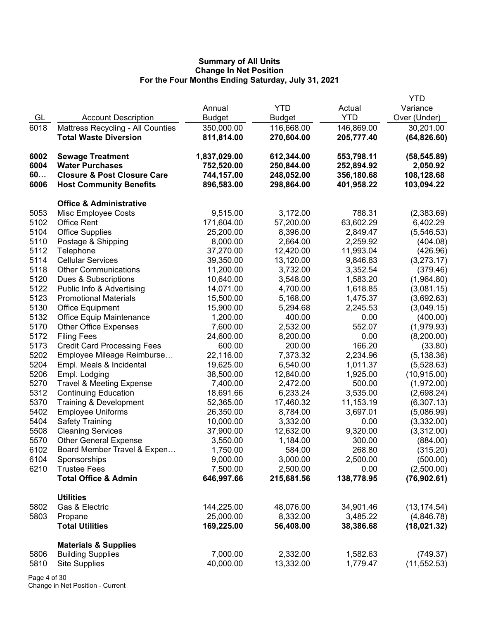|      |                                          |               |               |            | <b>YTD</b>   |
|------|------------------------------------------|---------------|---------------|------------|--------------|
|      |                                          | Annual        | <b>YTD</b>    | Actual     | Variance     |
| GL   | <b>Account Description</b>               | <b>Budget</b> | <b>Budget</b> | <b>YTD</b> | Over (Under) |
| 6018 | <b>Mattress Recycling - All Counties</b> | 350,000.00    | 116,668.00    | 146,869.00 | 30,201.00    |
|      | <b>Total Waste Diversion</b>             | 811,814.00    | 270,604.00    | 205,777.40 | (64, 826.60) |
| 6002 | <b>Sewage Treatment</b>                  | 1,837,029.00  | 612,344.00    | 553,798.11 | (58, 545.89) |
| 6004 | <b>Water Purchases</b>                   | 752,520.00    | 250,844.00    | 252,894.92 | 2,050.92     |
| 60   | <b>Closure &amp; Post Closure Care</b>   | 744,157.00    | 248,052.00    | 356,180.68 | 108,128.68   |
| 6006 | <b>Host Community Benefits</b>           | 896,583.00    | 298,864.00    | 401,958.22 | 103,094.22   |
|      | <b>Office &amp; Administrative</b>       |               |               |            |              |
| 5053 | Misc Employee Costs                      | 9,515.00      | 3,172.00      | 788.31     | (2,383.69)   |
| 5102 | <b>Office Rent</b>                       | 171,604.00    | 57,200.00     | 63,602.29  | 6,402.29     |
| 5104 | <b>Office Supplies</b>                   | 25,200.00     | 8,396.00      | 2,849.47   | (5,546.53)   |
| 5110 | Postage & Shipping                       | 8,000.00      | 2,664.00      | 2,259.92   | (404.08)     |
| 5112 | Telephone                                | 37,270.00     | 12,420.00     | 11,993.04  | (426.96)     |
| 5114 | <b>Cellular Services</b>                 | 39,350.00     | 13,120.00     | 9,846.83   | (3,273.17)   |
| 5118 | <b>Other Communications</b>              | 11,200.00     | 3,732.00      | 3,352.54   | (379.46)     |
| 5120 | Dues & Subscriptions                     | 10,640.00     | 3,548.00      | 1,583.20   | (1,964.80)   |
| 5122 | Public Info & Advertising                | 14,071.00     | 4,700.00      | 1,618.85   | (3,081.15)   |
| 5123 | <b>Promotional Materials</b>             | 15,500.00     | 5,168.00      | 1,475.37   | (3,692.63)   |
| 5130 | <b>Office Equipment</b>                  | 15,900.00     | 5,294.68      | 2,245.53   | (3,049.15)   |
| 5132 | <b>Office Equip Maintenance</b>          | 1,200.00      | 400.00        | 0.00       | (400.00)     |
| 5170 | <b>Other Office Expenses</b>             | 7,600.00      | 2,532.00      | 552.07     | (1,979.93)   |
| 5172 | <b>Filing Fees</b>                       | 24,600.00     | 8,200.00      | 0.00       | (8,200.00)   |
| 5173 | <b>Credit Card Processing Fees</b>       | 600.00        | 200.00        | 166.20     | (33.80)      |
| 5202 | Employee Mileage Reimburse               | 22,116.00     | 7,373.32      | 2,234.96   | (5, 138.36)  |
| 5204 | Empl. Meals & Incidental                 | 19,625.00     | 6,540.00      | 1,011.37   | (5,528.63)   |
| 5206 | Empl. Lodging                            | 38,500.00     | 12,840.00     | 1,925.00   | (10, 915.00) |
| 5270 | <b>Travel &amp; Meeting Expense</b>      | 7,400.00      | 2,472.00      | 500.00     | (1,972.00)   |
| 5312 | <b>Continuing Education</b>              | 18,691.66     | 6,233.24      | 3,535.00   | (2,698.24)   |
| 5370 | Training & Development                   | 52,365.00     | 17,460.32     | 11,153.19  | (6,307.13)   |
| 5402 | <b>Employee Uniforms</b>                 | 26,350.00     | 8,784.00      | 3,697.01   | (5,086.99)   |
| 5404 | <b>Safety Training</b>                   | 10,000.00     | 3,332.00      | 0.00       | (3,332.00)   |
| 5508 | <b>Cleaning Services</b>                 | 37,900.00     | 12,632.00     | 9,320.00   | (3,312.00)   |
| 5570 | <b>Other General Expense</b>             | 3,550.00      | 1,184.00      | 300.00     | (884.00)     |
| 6102 | Board Member Travel & Expen              | 1,750.00      | 584.00        | 268.80     | (315.20)     |
| 6104 | Sponsorships                             | 9,000.00      | 3,000.00      | 2,500.00   | (500.00)     |
| 6210 | <b>Trustee Fees</b>                      | 7,500.00      | 2,500.00      | 0.00       | (2,500.00)   |
|      | <b>Total Office &amp; Admin</b>          | 646,997.66    | 215,681.56    | 138,778.95 | (76, 902.61) |
|      | <b>Utilities</b>                         |               |               |            |              |
| 5802 | Gas & Electric                           | 144,225.00    | 48,076.00     | 34,901.46  | (13, 174.54) |
| 5803 | Propane                                  | 25,000.00     | 8,332.00      | 3,485.22   | (4,846.78)   |
|      | <b>Total Utilities</b>                   | 169,225.00    | 56,408.00     | 38,386.68  | (18,021.32)  |
|      | <b>Materials &amp; Supplies</b>          |               |               |            |              |
| 5806 | <b>Building Supplies</b>                 | 7,000.00      | 2,332.00      | 1,582.63   | (749.37)     |
| 5810 | <b>Site Supplies</b>                     | 40,000.00     | 13,332.00     | 1,779.47   | (11, 552.53) |
|      |                                          |               |               |            |              |

Page 4 of 30 Change in Net Position - Current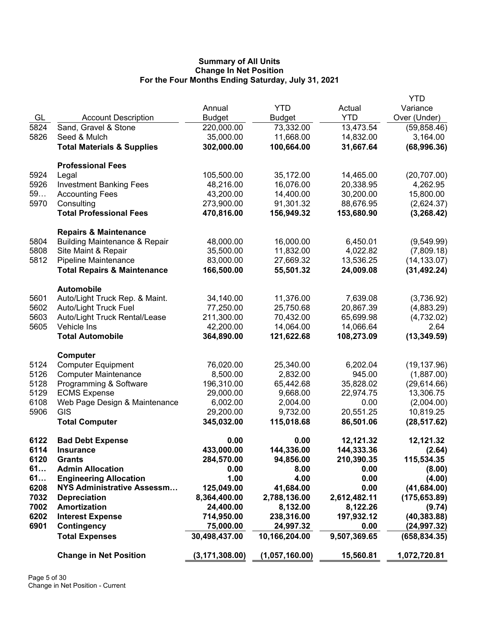|      |                                                                              |                  |                |              | <b>YTD</b>    |
|------|------------------------------------------------------------------------------|------------------|----------------|--------------|---------------|
|      |                                                                              | Annual           | <b>YTD</b>     | Actual       | Variance      |
| GL   | <b>Account Description</b>                                                   | <b>Budget</b>    | <b>Budget</b>  | <b>YTD</b>   | Over (Under)  |
| 5824 | Sand, Gravel & Stone                                                         | 220,000.00       | 73,332.00      | 13,473.54    | (59,858.46)   |
| 5826 | Seed & Mulch                                                                 | 35,000.00        | 11,668.00      | 14,832.00    | 3,164.00      |
|      | <b>Total Materials &amp; Supplies</b>                                        | 302,000.00       | 100,664.00     | 31,667.64    | (68,996.36)   |
|      |                                                                              |                  |                |              |               |
|      | <b>Professional Fees</b>                                                     |                  |                |              |               |
| 5924 | Legal                                                                        | 105,500.00       | 35,172.00      | 14,465.00    | (20, 707.00)  |
| 5926 | <b>Investment Banking Fees</b>                                               | 48,216.00        | 16,076.00      | 20,338.95    | 4,262.95      |
| 59   | <b>Accounting Fees</b>                                                       | 43,200.00        | 14,400.00      | 30,200.00    | 15,800.00     |
| 5970 | Consulting                                                                   | 273,900.00       | 91,301.32      | 88,676.95    | (2,624.37)    |
|      | <b>Total Professional Fees</b>                                               | 470,816.00       | 156,949.32     | 153,680.90   | (3,268.42)    |
|      |                                                                              |                  |                |              |               |
| 5804 | <b>Repairs &amp; Maintenance</b><br><b>Building Maintenance &amp; Repair</b> | 48,000.00        | 16,000.00      | 6,450.01     | (9,549.99)    |
| 5808 |                                                                              | 35,500.00        | 11,832.00      | 4,022.82     |               |
| 5812 | Site Maint & Repair                                                          |                  |                |              | (7,809.18)    |
|      | <b>Pipeline Maintenance</b>                                                  | 83,000.00        | 27,669.32      | 13,536.25    | (14, 133.07)  |
|      | <b>Total Repairs &amp; Maintenance</b>                                       | 166,500.00       | 55,501.32      | 24,009.08    | (31, 492.24)  |
|      | <b>Automobile</b>                                                            |                  |                |              |               |
| 5601 | Auto/Light Truck Rep. & Maint.                                               | 34,140.00        | 11,376.00      | 7,639.08     | (3,736.92)    |
| 5602 | <b>Auto/Light Truck Fuel</b>                                                 | 77,250.00        | 25,750.68      | 20,867.39    | (4,883.29)    |
| 5603 | Auto/Light Truck Rental/Lease                                                | 211,300.00       | 70,432.00      | 65,699.98    | (4,732.02)    |
| 5605 | Vehicle Ins                                                                  | 42,200.00        | 14,064.00      | 14,066.64    | 2.64          |
|      | <b>Total Automobile</b>                                                      | 364,890.00       | 121,622.68     | 108,273.09   | (13, 349.59)  |
|      | Computer                                                                     |                  |                |              |               |
| 5124 | <b>Computer Equipment</b>                                                    | 76,020.00        | 25,340.00      | 6,202.04     | (19, 137.96)  |
| 5126 | <b>Computer Maintenance</b>                                                  | 8,500.00         | 2,832.00       | 945.00       | (1,887.00)    |
| 5128 | Programming & Software                                                       | 196,310.00       | 65,442.68      | 35,828.02    | (29,614.66)   |
| 5129 | <b>ECMS Expense</b>                                                          | 29,000.00        | 9,668.00       | 22,974.75    | 13,306.75     |
| 6108 | Web Page Design & Maintenance                                                | 6,002.00         | 2,004.00       | 0.00         | (2,004.00)    |
| 5906 | GIS                                                                          |                  |                | 20,551.25    |               |
|      |                                                                              | 29,200.00        | 9,732.00       |              | 10,819.25     |
|      | <b>Total Computer</b>                                                        | 345,032.00       | 115,018.68     | 86,501.06    | (28, 517.62)  |
| 6122 | <b>Bad Debt Expense</b>                                                      | 0.00             | 0.00           | 12,121.32    | 12,121.32     |
| 6114 | <b>Insurance</b>                                                             | 433,000.00       | 144,336.00     | 144,333.36   | (2.64)        |
| 6120 | <b>Grants</b>                                                                | 284,570.00       | 94,856.00      | 210,390.35   | 115,534.35    |
| 61   | <b>Admin Allocation</b>                                                      | 0.00             | 8.00           | 0.00         | (8.00)        |
| 61   | <b>Engineering Allocation</b>                                                | 1.00             | 4.00           | 0.00         | (4.00)        |
| 6208 | <b>NYS Administrative Assessm</b>                                            | 125,049.00       | 41,684.00      | 0.00         | (41, 684.00)  |
| 7032 | <b>Depreciation</b>                                                          | 8,364,400.00     | 2,788,136.00   | 2,612,482.11 | (175, 653.89) |
| 7002 | Amortization                                                                 | 24,400.00        | 8,132.00       | 8,122.26     | (9.74)        |
| 6202 | <b>Interest Expense</b>                                                      | 714,950.00       | 238,316.00     | 197,932.12   | (40, 383.88)  |
| 6901 | Contingency                                                                  | 75,000.00        | 24,997.32      | 0.00         | (24, 997.32)  |
|      | <b>Total Expenses</b>                                                        | 30,498,437.00    | 10,166,204.00  | 9,507,369.65 | (658, 834.35) |
|      |                                                                              |                  |                |              |               |
|      | <b>Change in Net Position</b>                                                | (3, 171, 308.00) | (1,057,160.00) | 15,560.81    | 1,072,720.81  |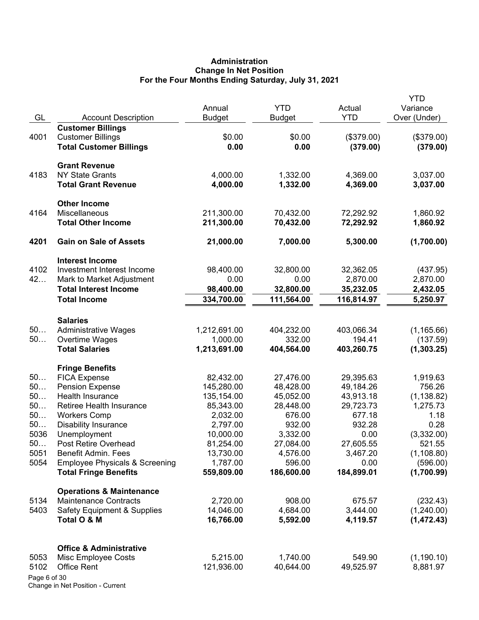# **Administration Change In Net Position For the Four Months Ending Saturday, July 31, 2021**

| GL           | <b>Account Description</b>                          | Annual<br><b>Budget</b> | <b>YTD</b><br><b>Budget</b> | Actual<br><b>YTD</b>    | <b>YTD</b><br>Variance<br>Over (Under) |
|--------------|-----------------------------------------------------|-------------------------|-----------------------------|-------------------------|----------------------------------------|
|              | <b>Customer Billings</b>                            |                         |                             |                         |                                        |
| 4001         | <b>Customer Billings</b>                            | \$0.00                  | \$0.00                      | (\$379.00)              | (\$379.00)                             |
|              | <b>Total Customer Billings</b>                      | 0.00                    | 0.00                        | (379.00)                | (379.00)                               |
|              | <b>Grant Revenue</b>                                |                         |                             |                         |                                        |
| 4183         | <b>NY State Grants</b>                              | 4,000.00                | 1,332.00                    | 4,369.00                | 3,037.00                               |
|              | <b>Total Grant Revenue</b>                          | 4,000.00                | 1,332.00                    | 4,369.00                | 3,037.00                               |
|              | <b>Other Income</b>                                 |                         |                             |                         |                                        |
| 4164         | Miscellaneous                                       | 211,300.00              | 70,432.00                   | 72,292.92               | 1,860.92                               |
|              | <b>Total Other Income</b>                           | 211,300.00              | 70,432.00                   | 72,292.92               | 1,860.92                               |
| 4201         | <b>Gain on Sale of Assets</b>                       | 21,000.00               | 7,000.00                    | 5,300.00                | (1,700.00)                             |
|              | <b>Interest Income</b>                              |                         |                             |                         |                                        |
| 4102         | Investment Interest Income                          | 98,400.00               | 32,800.00                   | 32,362.05               | (437.95)                               |
| 42           | Mark to Market Adjustment                           | 0.00                    | 0.00                        | 2,870.00                | 2,870.00                               |
|              | <b>Total Interest Income</b><br><b>Total Income</b> | 98,400.00<br>334,700.00 | 32,800.00<br>111,564.00     | 35,232.05<br>116,814.97 | 2,432.05<br>5,250.97                   |
|              |                                                     |                         |                             |                         |                                        |
|              | <b>Salaries</b>                                     |                         |                             |                         |                                        |
| 50           | <b>Administrative Wages</b>                         | 1,212,691.00            | 404,232.00                  | 403,066.34              | (1, 165.66)                            |
| 50           | Overtime Wages                                      | 1,000.00                | 332.00                      | 194.41                  | (137.59)                               |
|              | <b>Total Salaries</b>                               | 1,213,691.00            | 404,564.00                  | 403,260.75              | (1,303.25)                             |
|              | <b>Fringe Benefits</b>                              |                         |                             |                         |                                        |
| 50           | <b>FICA Expense</b>                                 | 82,432.00               | 27,476.00                   | 29,395.63               | 1,919.63                               |
| 50           | <b>Pension Expense</b>                              | 145,280.00              | 48,428.00                   | 49,184.26               | 756.26                                 |
| 50<br>50     | Health Insurance<br>Retiree Health Insurance        | 135,154.00              | 45,052.00<br>28,448.00      | 43,913.18               | (1, 138.82)<br>1,275.73                |
| 50           | <b>Workers Comp</b>                                 | 85,343.00<br>2,032.00   | 676.00                      | 29,723.73<br>677.18     | 1.18                                   |
| 50           | <b>Disability Insurance</b>                         | 2,797.00                | 932.00                      | 932.28                  | 0.28                                   |
| 5036         | Unemployment                                        | 10,000.00               | 3,332.00                    | 0.00                    | (3,332.00)                             |
| 50           | Post Retire Overhead                                | 81,254.00               | 27,084.00                   | 27,605.55               | 521.55                                 |
| 5051         | <b>Benefit Admin. Fees</b>                          | 13,730.00               | 4,576.00                    | 3,467.20                | (1, 108.80)                            |
| 5054         | <b>Employee Physicals &amp; Screening</b>           | 1,787.00                | 596.00                      | 0.00                    | (596.00)                               |
|              | <b>Total Fringe Benefits</b>                        | 559,809.00              | 186,600.00                  | 184,899.01              | (1,700.99)                             |
|              | <b>Operations &amp; Maintenance</b>                 |                         |                             |                         |                                        |
| 5134         | <b>Maintenance Contracts</b>                        | 2,720.00                | 908.00                      | 675.57                  | (232.43)                               |
| 5403         | <b>Safety Equipment &amp; Supplies</b>              | 14,046.00               | 4,684.00                    | 3,444.00                | (1,240.00)                             |
|              | Total O & M                                         | 16,766.00               | 5,592.00                    | 4,119.57                | (1,472.43)                             |
|              | <b>Office &amp; Administrative</b>                  |                         |                             |                         |                                        |
| 5053         | Misc Employee Costs                                 | 5,215.00                | 1,740.00                    | 549.90                  | (1, 190.10)                            |
| 5102         | <b>Office Rent</b>                                  | 121,936.00              | 40,644.00                   | 49,525.97               | 8,881.97                               |
| Page 6 of 30 |                                                     |                         |                             |                         |                                        |

Change in Net Position - Current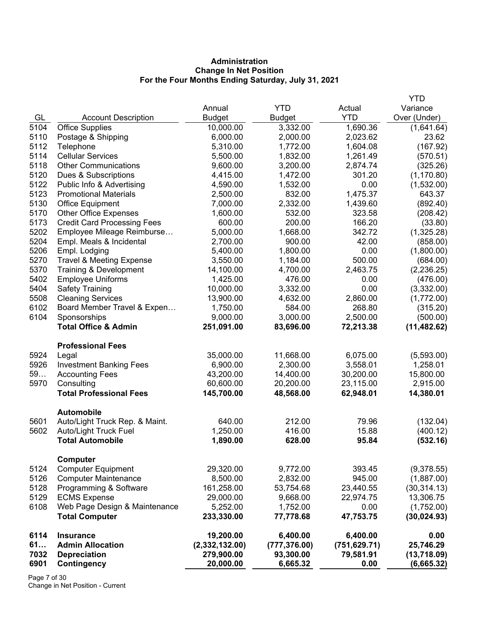# **Administration Change In Net Position For the Four Months Ending Saturday, July 31, 2021**

|      |                                     |                |               |               | <b>YTD</b>   |
|------|-------------------------------------|----------------|---------------|---------------|--------------|
|      |                                     | Annual         | YTD           | Actual        | Variance     |
| GL   | <b>Account Description</b>          | <b>Budget</b>  | <b>Budget</b> | <b>YTD</b>    | Over (Under) |
| 5104 | <b>Office Supplies</b>              | 10,000.00      | 3,332.00      | 1,690.36      | (1,641.64)   |
| 5110 | Postage & Shipping                  | 6,000.00       | 2,000.00      | 2,023.62      | 23.62        |
| 5112 | Telephone                           | 5,310.00       | 1,772.00      | 1,604.08      | (167.92)     |
| 5114 | <b>Cellular Services</b>            | 5,500.00       | 1,832.00      | 1,261.49      | (570.51)     |
| 5118 | <b>Other Communications</b>         | 9,600.00       | 3,200.00      | 2,874.74      | (325.26)     |
| 5120 | Dues & Subscriptions                | 4,415.00       | 1,472.00      | 301.20        | (1, 170.80)  |
| 5122 | Public Info & Advertising           | 4,590.00       | 1,532.00      | 0.00          | (1,532.00)   |
| 5123 | <b>Promotional Materials</b>        | 2,500.00       | 832.00        | 1,475.37      | 643.37       |
| 5130 | <b>Office Equipment</b>             | 7,000.00       | 2,332.00      | 1,439.60      | (892.40)     |
| 5170 | <b>Other Office Expenses</b>        | 1,600.00       | 532.00        | 323.58        | (208.42)     |
| 5173 | <b>Credit Card Processing Fees</b>  | 600.00         | 200.00        | 166.20        | (33.80)      |
| 5202 | Employee Mileage Reimburse          | 5,000.00       | 1,668.00      | 342.72        | (1,325.28)   |
| 5204 | Empl. Meals & Incidental            | 2,700.00       | 900.00        | 42.00         | (858.00)     |
| 5206 | Empl. Lodging                       | 5,400.00       | 1,800.00      | 0.00          | (1,800.00)   |
| 5270 | <b>Travel &amp; Meeting Expense</b> | 3,550.00       | 1,184.00      | 500.00        | (684.00)     |
| 5370 | Training & Development              | 14,100.00      | 4,700.00      | 2,463.75      | (2,236.25)   |
| 5402 | <b>Employee Uniforms</b>            | 1,425.00       | 476.00        | 0.00          | (476.00)     |
| 5404 | <b>Safety Training</b>              | 10,000.00      | 3,332.00      | 0.00          | (3,332.00)   |
| 5508 | <b>Cleaning Services</b>            | 13,900.00      | 4,632.00      | 2,860.00      | (1,772.00)   |
| 6102 | Board Member Travel & Expen         | 1,750.00       | 584.00        | 268.80        | (315.20)     |
| 6104 | Sponsorships                        | 9,000.00       | 3,000.00      | 2,500.00      | (500.00)     |
|      | <b>Total Office &amp; Admin</b>     | 251,091.00     | 83,696.00     | 72,213.38     | (11, 482.62) |
|      | <b>Professional Fees</b>            |                |               |               |              |
| 5924 | Legal                               | 35,000.00      | 11,668.00     | 6,075.00      | (5,593.00)   |
| 5926 | <b>Investment Banking Fees</b>      | 6,900.00       | 2,300.00      | 3,558.01      | 1,258.01     |
| 59   | <b>Accounting Fees</b>              | 43,200.00      | 14,400.00     | 30,200.00     | 15,800.00    |
| 5970 | Consulting                          | 60,600.00      | 20,200.00     | 23,115.00     | 2,915.00     |
|      | <b>Total Professional Fees</b>      | 145,700.00     | 48,568.00     | 62,948.01     | 14,380.01    |
|      | <b>Automobile</b>                   |                |               |               |              |
| 5601 | Auto/Light Truck Rep. & Maint.      | 640.00         | 212.00        | 79.96         | (132.04)     |
| 5602 | <b>Auto/Light Truck Fuel</b>        | 1,250.00       | 416.00        | 15.88         | (400.12)     |
|      | <b>Total Automobile</b>             | 1,890.00       | 628.00        | 95.84         | (532.16)     |
|      | Computer                            |                |               |               |              |
| 5124 | <b>Computer Equipment</b>           | 29,320.00      | 9,772.00      | 393.45        | (9,378.55)   |
| 5126 | <b>Computer Maintenance</b>         | 8,500.00       | 2,832.00      | 945.00        | (1,887.00)   |
| 5128 | Programming & Software              | 161,258.00     | 53,754.68     | 23,440.55     | (30, 314.13) |
| 5129 | <b>ECMS Expense</b>                 | 29,000.00      | 9,668.00      | 22,974.75     | 13,306.75    |
| 6108 | Web Page Design & Maintenance       | 5,252.00       | 1,752.00      | 0.00          | (1,752.00)   |
|      | <b>Total Computer</b>               | 233,330.00     | 77,778.68     | 47,753.75     | (30, 024.93) |
| 6114 | <b>Insurance</b>                    | 19,200.00      | 6,400.00      | 6,400.00      | 0.00         |
| 61   | <b>Admin Allocation</b>             | (2,332,132.00) | (777, 376.00) | (751, 629.71) | 25,746.29    |
| 7032 | <b>Depreciation</b>                 | 279,900.00     | 93,300.00     | 79,581.91     | (13,718.09)  |
| 6901 | Contingency                         | 20,000.00      | 6,665.32      | 0.00          | (6,665.32)   |

Page 7 of 30 Change in Net Position - Current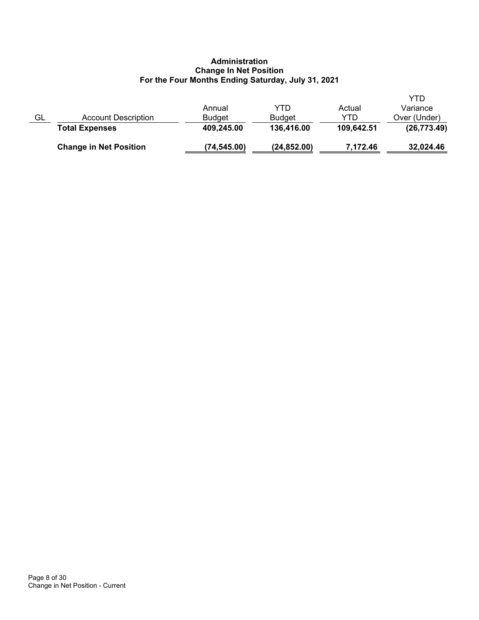# **Administration Change In Net Position For the Four Months Ending Saturday, July 31, 2021**

|    | <b>Change in Net Position</b> | (74,545.00)   | (24, 852.00)  | 7,172.46   | 32,024.46    |
|----|-------------------------------|---------------|---------------|------------|--------------|
|    | <b>Total Expenses</b>         | 409,245.00    | 136,416.00    | 109,642.51 | (26, 773.49) |
| GL | <b>Account Description</b>    | <b>Budget</b> | <b>Budget</b> | YTD        | Over (Under) |
|    |                               | Annual        | YTD           | Actual     | Variance     |
|    |                               |               |               |            | YTD          |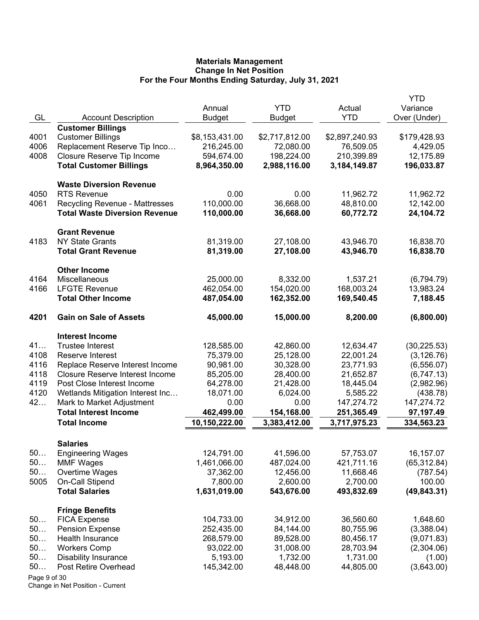|              |                                                        |                |                |                      | YTD                      |
|--------------|--------------------------------------------------------|----------------|----------------|----------------------|--------------------------|
|              |                                                        | Annual         | <b>YTD</b>     | Actual<br><b>YTD</b> | Variance                 |
| GL           | <b>Account Description</b><br><b>Customer Billings</b> | <b>Budget</b>  | <b>Budget</b>  |                      | Over (Under)             |
| 4001         | <b>Customer Billings</b>                               | \$8,153,431.00 | \$2,717,812.00 | \$2,897,240.93       | \$179,428.93             |
| 4006         | Replacement Reserve Tip Inco                           | 216,245.00     | 72,080.00      | 76,509.05            | 4,429.05                 |
| 4008         | Closure Reserve Tip Income                             | 594,674.00     | 198,224.00     | 210,399.89           | 12,175.89                |
|              | <b>Total Customer Billings</b>                         | 8,964,350.00   | 2,988,116.00   | 3,184,149.87         | 196,033.87               |
|              |                                                        |                |                |                      |                          |
|              | <b>Waste Diversion Revenue</b>                         |                |                |                      |                          |
| 4050         | <b>RTS Revenue</b>                                     | 0.00           | 0.00           | 11,962.72            | 11,962.72                |
| 4061         | <b>Recycling Revenue - Mattresses</b>                  | 110,000.00     | 36,668.00      | 48,810.00            | 12,142.00                |
|              | <b>Total Waste Diversion Revenue</b>                   | 110,000.00     | 36,668.00      | 60,772.72            | 24,104.72                |
|              | <b>Grant Revenue</b>                                   |                |                |                      |                          |
| 4183         | <b>NY State Grants</b>                                 | 81,319.00      | 27,108.00      | 43,946.70            | 16,838.70                |
|              | <b>Total Grant Revenue</b>                             | 81,319.00      | 27,108.00      | 43,946.70            | 16,838.70                |
|              | <b>Other Income</b>                                    |                |                |                      |                          |
| 4164         | Miscellaneous                                          | 25,000.00      | 8,332.00       | 1,537.21             | (6,794.79)               |
| 4166         | <b>LFGTE Revenue</b>                                   | 462,054.00     | 154,020.00     | 168,003.24           | 13,983.24                |
|              | <b>Total Other Income</b>                              | 487,054.00     | 162,352.00     | 169,540.45           | 7,188.45                 |
|              |                                                        |                |                |                      |                          |
| 4201         | <b>Gain on Sale of Assets</b>                          | 45,000.00      | 15,000.00      | 8,200.00             | (6,800.00)               |
|              | <b>Interest Income</b>                                 |                |                |                      |                          |
| 41           | <b>Trustee Interest</b>                                | 128,585.00     | 42,860.00      | 12,634.47            | (30, 225.53)             |
| 4108         | Reserve Interest                                       | 75,379.00      | 25,128.00      | 22,001.24            | (3, 126.76)              |
| 4116         | Replace Reserve Interest Income                        | 90,981.00      | 30,328.00      | 23,771.93            | (6, 556.07)              |
| 4118         | <b>Closure Reserve Interest Income</b>                 | 85,205.00      | 28,400.00      | 21,652.87            | (6,747.13)               |
| 4119         | Post Close Interest Income                             | 64,278.00      | 21,428.00      | 18,445.04            | (2,982.96)               |
| 4120         | Wetlands Mitigation Interest Inc                       | 18,071.00      | 6,024.00       | 5,585.22             | (438.78)                 |
| 42           | Mark to Market Adjustment                              | 0.00           | 0.00           | 147,274.72           | 147,274.72               |
|              | <b>Total Interest Income</b>                           | 462,499.00     | 154,168.00     | 251,365.49           | 97,197.49                |
|              | <b>Total Income</b>                                    | 10,150,222.00  | 3,383,412.00   | 3,717,975.23         | 334,563.23               |
|              |                                                        |                |                |                      |                          |
| 50           | <b>Salaries</b>                                        | 124,791.00     | 41,596.00      | 57,753.07            |                          |
| 50           | <b>Engineering Wages</b><br><b>MMF Wages</b>           | 1,461,066.00   | 487,024.00     | 421,711.16           | 16,157.07                |
| 50           | Overtime Wages                                         | 37,362.00      | 12,456.00      | 11,668.46            | (65, 312.84)<br>(787.54) |
| 5005         | On-Call Stipend                                        | 7,800.00       | 2,600.00       | 2,700.00             | 100.00                   |
|              | <b>Total Salaries</b>                                  | 1,631,019.00   | 543,676.00     | 493,832.69           | (49, 843.31)             |
|              |                                                        |                |                |                      |                          |
|              | <b>Fringe Benefits</b>                                 |                |                |                      |                          |
| 50           | <b>FICA Expense</b>                                    | 104,733.00     | 34,912.00      | 36,560.60            | 1,648.60                 |
| 50           | <b>Pension Expense</b>                                 | 252,435.00     | 84,144.00      | 80,755.96            | (3,388.04)               |
| 50           | Health Insurance                                       | 268,579.00     | 89,528.00      | 80,456.17            | (9,071.83)               |
| 50           | <b>Workers Comp</b>                                    | 93,022.00      | 31,008.00      | 28,703.94            | (2,304.06)               |
| 50           | <b>Disability Insurance</b>                            | 5,193.00       | 1,732.00       | 1,731.00             | (1.00)                   |
| 50           | Post Retire Overhead                                   | 145,342.00     | 48,448.00      | 44,805.00            | (3,643.00)               |
| Page 9 of 30 |                                                        |                |                |                      |                          |

Change in Net Position - Current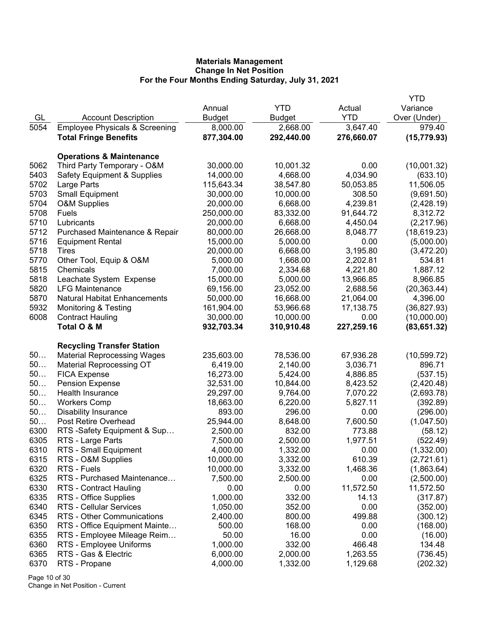|      |                                           |               |               |            | YTD          |
|------|-------------------------------------------|---------------|---------------|------------|--------------|
|      |                                           | Annual        | <b>YTD</b>    | Actual     | Variance     |
| GL   | <b>Account Description</b>                | <b>Budget</b> | <b>Budget</b> | <b>YTD</b> | Over (Under) |
| 5054 | <b>Employee Physicals &amp; Screening</b> | 8,000.00      | 2,668.00      | 3,647.40   | 979.40       |
|      | <b>Total Fringe Benefits</b>              | 877,304.00    | 292,440.00    | 276,660.07 | (15, 779.93) |
|      | <b>Operations &amp; Maintenance</b>       |               |               |            |              |
| 5062 | Third Party Temporary - O&M               | 30,000.00     | 10,001.32     | 0.00       | (10,001.32)  |
| 5403 | <b>Safety Equipment &amp; Supplies</b>    | 14,000.00     | 4,668.00      | 4,034.90   | (633.10)     |
| 5702 | Large Parts                               | 115,643.34    | 38,547.80     | 50,053.85  | 11,506.05    |
| 5703 | <b>Small Equipment</b>                    | 30,000.00     | 10,000.00     | 308.50     | (9,691.50)   |
| 5704 | <b>O&amp;M Supplies</b>                   | 20,000.00     | 6,668.00      | 4,239.81   | (2,428.19)   |
| 5708 | Fuels                                     | 250,000.00    | 83,332.00     | 91,644.72  | 8,312.72     |
| 5710 | Lubricants                                | 20,000.00     | 6,668.00      | 4,450.04   | (2,217.96)   |
| 5712 | Purchased Maintenance & Repair            | 80,000.00     | 26,668.00     | 8,048.77   | (18, 619.23) |
| 5716 | <b>Equipment Rental</b>                   | 15,000.00     | 5,000.00      | 0.00       | (5,000.00)   |
| 5718 | Tires                                     | 20,000.00     | 6,668.00      | 3,195.80   | (3,472.20)   |
| 5770 | Other Tool, Equip & O&M                   | 5,000.00      | 1,668.00      | 2,202.81   | 534.81       |
| 5815 | Chemicals                                 | 7,000.00      | 2,334.68      | 4,221.80   | 1,887.12     |
| 5818 | Leachate System Expense                   | 15,000.00     | 5,000.00      | 13,966.85  | 8,966.85     |
| 5820 | <b>LFG Maintenance</b>                    | 69,156.00     | 23,052.00     | 2,688.56   | (20, 363.44) |
| 5870 | <b>Natural Habitat Enhancements</b>       | 50,000.00     | 16,668.00     | 21,064.00  | 4,396.00     |
| 5932 | <b>Monitoring &amp; Testing</b>           | 161,904.00    | 53,966.68     | 17,138.75  | (36, 827.93) |
| 6008 | <b>Contract Hauling</b>                   | 30,000.00     | 10,000.00     | 0.00       | (10,000.00)  |
|      | Total O & M                               | 932,703.34    | 310,910.48    | 227,259.16 | (83, 651.32) |
|      | <b>Recycling Transfer Station</b>         |               |               |            |              |
| 50   | <b>Material Reprocessing Wages</b>        | 235,603.00    | 78,536.00     | 67,936.28  | (10, 599.72) |
| 50   | <b>Material Reprocessing OT</b>           | 6,419.00      | 2,140.00      | 3,036.71   | 896.71       |
| 50   | <b>FICA Expense</b>                       | 16,273.00     | 5,424.00      | 4,886.85   | (537.15)     |
| 50   | <b>Pension Expense</b>                    | 32,531.00     | 10,844.00     | 8,423.52   | (2,420.48)   |
| 50   | Health Insurance                          | 29,297.00     | 9,764.00      | 7,070.22   | (2,693.78)   |
| 50   | <b>Workers Comp</b>                       | 18,663.00     | 6,220.00      | 5,827.11   | (392.89)     |
| 50   | <b>Disability Insurance</b>               | 893.00        | 296.00        | 0.00       | (296.00)     |
| 50   | Post Retire Overhead                      | 25,944.00     | 8,648.00      | 7,600.50   | (1,047.50)   |
| 6300 | RTS-Safety Equipment & Sup                | 2,500.00      | 832.00        | 773.88     | (58.12)      |
| 6305 | RTS - Large Parts                         | 7,500.00      | 2,500.00      | 1,977.51   | (522.49)     |
| 6310 | RTS - Small Equipment                     | 4,000.00      | 1,332.00      | 0.00       | (1,332.00)   |
| 6315 | RTS - O&M Supplies                        | 10,000.00     | 3,332.00      | 610.39     | (2,721.61)   |
| 6320 | RTS - Fuels                               | 10,000.00     | 3,332.00      | 1,468.36   | (1,863.64)   |
| 6325 | RTS - Purchased Maintenance               | 7,500.00      | 2,500.00      | 0.00       | (2,500.00)   |
| 6330 | RTS - Contract Hauling                    | 0.00          | 0.00          | 11,572.50  | 11,572.50    |
| 6335 | RTS - Office Supplies                     | 1,000.00      | 332.00        | 14.13      | (317.87)     |
| 6340 | RTS - Cellular Services                   | 1,050.00      | 352.00        | 0.00       | (352.00)     |
| 6345 | RTS - Other Communications                | 2,400.00      | 800.00        | 499.88     | (300.12)     |
| 6350 | RTS - Office Equipment Mainte             | 500.00        | 168.00        | 0.00       | (168.00)     |
| 6355 | RTS - Employee Mileage Reim               | 50.00         | 16.00         | 0.00       | (16.00)      |
| 6360 | RTS - Employee Uniforms                   | 1,000.00      | 332.00        | 466.48     | 134.48       |
| 6365 | RTS - Gas & Electric                      | 6,000.00      | 2,000.00      | 1,263.55   | (736.45)     |
| 6370 | RTS - Propane                             | 4,000.00      | 1,332.00      | 1,129.68   | (202.32)     |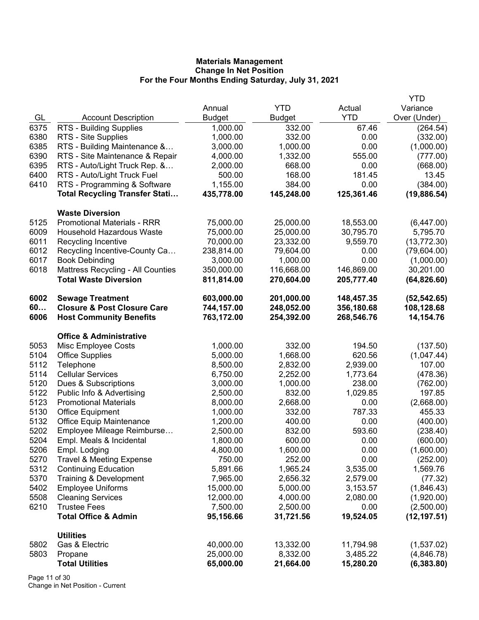|      |                                        |               |               |            | <b>YTD</b>   |
|------|----------------------------------------|---------------|---------------|------------|--------------|
|      |                                        | Annual        | <b>YTD</b>    | Actual     | Variance     |
| GL   | <b>Account Description</b>             | <b>Budget</b> | <b>Budget</b> | <b>YTD</b> | Over (Under) |
| 6375 | RTS - Building Supplies                | 1,000.00      | 332.00        | 67.46      | (264.54)     |
| 6380 | RTS - Site Supplies                    | 1,000.00      | 332.00        | 0.00       | (332.00)     |
| 6385 | RTS - Building Maintenance &           | 3,000.00      | 1,000.00      | 0.00       | (1,000.00)   |
| 6390 | RTS - Site Maintenance & Repair        | 4,000.00      | 1,332.00      | 555.00     | (777.00)     |
| 6395 | RTS - Auto/Light Truck Rep. &          | 2,000.00      | 668.00        | 0.00       | (668.00)     |
| 6400 | RTS - Auto/Light Truck Fuel            | 500.00        | 168.00        | 181.45     | 13.45        |
| 6410 | RTS - Programming & Software           | 1,155.00      | 384.00        | 0.00       | (384.00)     |
|      | <b>Total Recycling Transfer Stati</b>  | 435,778.00    | 145,248.00    | 125,361.46 | (19, 886.54) |
|      | <b>Waste Diversion</b>                 |               |               |            |              |
| 5125 | <b>Promotional Materials - RRR</b>     | 75,000.00     | 25,000.00     | 18,553.00  | (6,447.00)   |
| 6009 | <b>Household Hazardous Waste</b>       | 75,000.00     | 25,000.00     | 30,795.70  | 5,795.70     |
| 6011 | Recycling Incentive                    | 70,000.00     | 23,332.00     | 9,559.70   | (13, 772.30) |
| 6012 | Recycling Incentive-County Ca          | 238,814.00    | 79,604.00     | 0.00       | (79,604.00)  |
| 6017 | <b>Book Debinding</b>                  | 3,000.00      | 1,000.00      | 0.00       | (1,000.00)   |
| 6018 | Mattress Recycling - All Counties      | 350,000.00    | 116,668.00    | 146,869.00 | 30,201.00    |
|      | <b>Total Waste Diversion</b>           | 811,814.00    | 270,604.00    | 205,777.40 | (64, 826.60) |
| 6002 | <b>Sewage Treatment</b>                | 603,000.00    | 201,000.00    | 148,457.35 | (52, 542.65) |
| 60   | <b>Closure &amp; Post Closure Care</b> | 744,157.00    | 248,052.00    | 356,180.68 | 108,128.68   |
| 6006 | <b>Host Community Benefits</b>         | 763,172.00    | 254,392.00    | 268,546.76 | 14,154.76    |
|      | <b>Office &amp; Administrative</b>     |               |               |            |              |
| 5053 | Misc Employee Costs                    | 1,000.00      | 332.00        | 194.50     | (137.50)     |
| 5104 | <b>Office Supplies</b>                 | 5,000.00      | 1,668.00      | 620.56     | (1,047.44)   |
| 5112 | Telephone                              | 8,500.00      | 2,832.00      | 2,939.00   | 107.00       |
| 5114 | <b>Cellular Services</b>               | 6,750.00      | 2,252.00      | 1,773.64   | (478.36)     |
| 5120 | Dues & Subscriptions                   | 3,000.00      | 1,000.00      | 238.00     | (762.00)     |
| 5122 | Public Info & Advertising              | 2,500.00      | 832.00        | 1,029.85   | 197.85       |
| 5123 | <b>Promotional Materials</b>           | 8,000.00      | 2,668.00      | 0.00       | (2,668.00)   |
| 5130 | <b>Office Equipment</b>                | 1,000.00      | 332.00        | 787.33     | 455.33       |
| 5132 | <b>Office Equip Maintenance</b>        | 1,200.00      | 400.00        | 0.00       | (400.00)     |
| 5202 | Employee Mileage Reimburse             | 2,500.00      | 832.00        | 593.60     | (238.40)     |
| 5204 | Empl. Meals & Incidental               | 1,800.00      | 600.00        | 0.00       | (600.00)     |
| 5206 | Empl. Lodging                          | 4,800.00      | 1,600.00      | 0.00       | (1,600.00)   |
| 5270 | <b>Travel &amp; Meeting Expense</b>    | 750.00        | 252.00        | 0.00       | (252.00)     |
| 5312 | <b>Continuing Education</b>            | 5,891.66      | 1,965.24      | 3,535.00   | 1,569.76     |
| 5370 | Training & Development                 | 7,965.00      | 2,656.32      | 2,579.00   | (77.32)      |
| 5402 | <b>Employee Uniforms</b>               | 15,000.00     | 5,000.00      | 3,153.57   | (1,846.43)   |
| 5508 | <b>Cleaning Services</b>               | 12,000.00     | 4,000.00      | 2,080.00   | (1,920.00)   |
| 6210 | <b>Trustee Fees</b>                    | 7,500.00      | 2,500.00      | 0.00       | (2,500.00)   |
|      | <b>Total Office &amp; Admin</b>        | 95,156.66     | 31,721.56     | 19,524.05  | (12, 197.51) |
|      | <b>Utilities</b>                       |               |               |            |              |
| 5802 | Gas & Electric                         | 40,000.00     | 13,332.00     | 11,794.98  | (1,537.02)   |
| 5803 | Propane                                | 25,000.00     | 8,332.00      | 3,485.22   | (4,846.78)   |
|      | <b>Total Utilities</b>                 | 65,000.00     | 21,664.00     | 15,280.20  | (6, 383.80)  |

Page 11 of 30 Change in Net Position - Current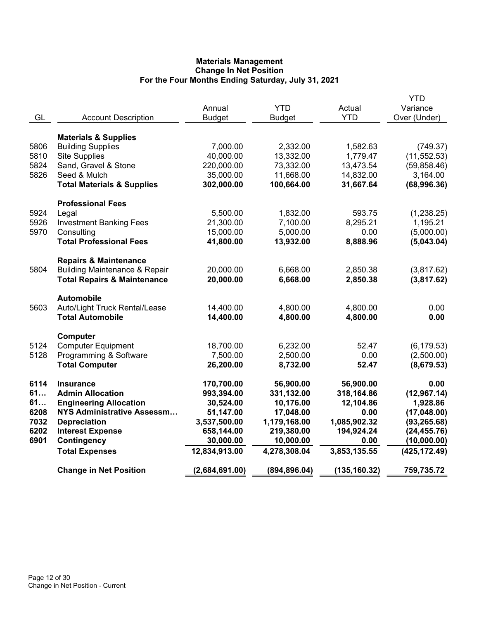|      |                                          |                |               |              | <b>YTD</b>    |
|------|------------------------------------------|----------------|---------------|--------------|---------------|
|      |                                          | Annual         | <b>YTD</b>    | Actual       | Variance      |
| GL   | <b>Account Description</b>               | <b>Budget</b>  | <b>Budget</b> | <b>YTD</b>   | Over (Under)  |
|      | <b>Materials &amp; Supplies</b>          |                |               |              |               |
| 5806 | <b>Building Supplies</b>                 | 7,000.00       | 2,332.00      | 1,582.63     | (749.37)      |
| 5810 | <b>Site Supplies</b>                     | 40,000.00      | 13,332.00     | 1,779.47     | (11, 552.53)  |
| 5824 | Sand, Gravel & Stone                     | 220,000.00     | 73,332.00     | 13,473.54    | (59, 858.46)  |
| 5826 | Seed & Mulch                             | 35,000.00      | 11,668.00     | 14,832.00    | 3,164.00      |
|      | <b>Total Materials &amp; Supplies</b>    | 302,000.00     | 100,664.00    | 31,667.64    | (68,996.36)   |
|      |                                          |                |               |              |               |
|      | <b>Professional Fees</b>                 |                |               |              |               |
| 5924 | Legal                                    | 5,500.00       | 1,832.00      | 593.75       | (1,238.25)    |
| 5926 | <b>Investment Banking Fees</b>           | 21,300.00      | 7,100.00      | 8,295.21     | 1,195.21      |
| 5970 | Consulting                               | 15,000.00      | 5,000.00      | 0.00         | (5,000.00)    |
|      | <b>Total Professional Fees</b>           | 41,800.00      | 13,932.00     | 8,888.96     | (5,043.04)    |
|      |                                          |                |               |              |               |
|      | <b>Repairs &amp; Maintenance</b>         |                |               |              |               |
| 5804 | <b>Building Maintenance &amp; Repair</b> | 20,000.00      | 6,668.00      | 2,850.38     | (3,817.62)    |
|      | <b>Total Repairs &amp; Maintenance</b>   | 20,000.00      | 6,668.00      | 2,850.38     | (3,817.62)    |
|      | <b>Automobile</b>                        |                |               |              |               |
| 5603 | Auto/Light Truck Rental/Lease            | 14,400.00      | 4,800.00      | 4,800.00     | 0.00          |
|      | <b>Total Automobile</b>                  | 14,400.00      | 4,800.00      | 4,800.00     | 0.00          |
|      |                                          |                |               |              |               |
|      | Computer                                 |                |               |              |               |
| 5124 | <b>Computer Equipment</b>                | 18,700.00      | 6,232.00      | 52.47        | (6, 179.53)   |
| 5128 | Programming & Software                   | 7,500.00       | 2,500.00      | 0.00         | (2,500.00)    |
|      | <b>Total Computer</b>                    | 26,200.00      | 8,732.00      | 52.47        | (8,679.53)    |
| 6114 | <b>Insurance</b>                         | 170,700.00     | 56,900.00     | 56,900.00    | 0.00          |
| 61   | <b>Admin Allocation</b>                  | 993,394.00     | 331,132.00    | 318,164.86   | (12, 967.14)  |
| 61   | <b>Engineering Allocation</b>            | 30,524.00      | 10,176.00     | 12,104.86    | 1,928.86      |
| 6208 | NYS Administrative Assessm               | 51,147.00      | 17,048.00     | 0.00         | (17,048.00)   |
| 7032 | <b>Depreciation</b>                      | 3,537,500.00   | 1,179,168.00  | 1,085,902.32 | (93, 265.68)  |
| 6202 | <b>Interest Expense</b>                  | 658,144.00     | 219,380.00    | 194,924.24   | (24, 455.76)  |
| 6901 | Contingency                              | 30,000.00      | 10,000.00     | 0.00         | (10,000.00)   |
|      | <b>Total Expenses</b>                    | 12,834,913.00  | 4,278,308.04  | 3,853,135.55 | (425, 172.49) |
|      |                                          |                |               |              |               |
|      | <b>Change in Net Position</b>            | (2,684,691.00) | (894, 896.04) | (135,160.32) | 759,735.72    |
|      |                                          |                |               |              |               |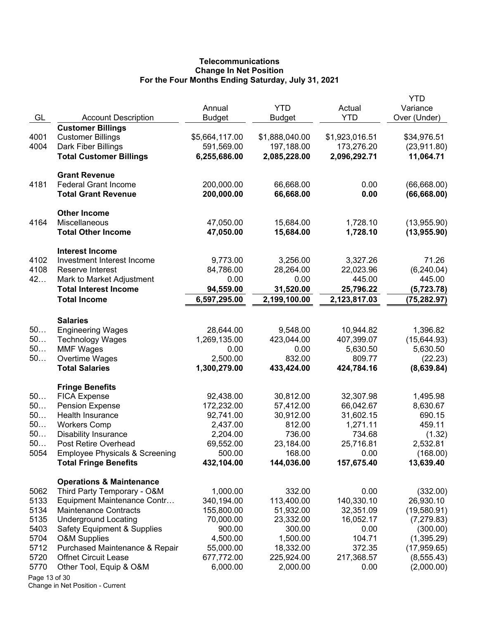# **Telecommunications Change In Net Position For the Four Months Ending Saturday, July 31, 2021**

| GL            | <b>Account Description</b>                                                | Annual<br><b>Budget</b> | <b>YTD</b><br>Budget | Actual<br><b>YTD</b> | YTD<br>Variance<br>Over (Under) |
|---------------|---------------------------------------------------------------------------|-------------------------|----------------------|----------------------|---------------------------------|
|               | <b>Customer Billings</b>                                                  |                         |                      |                      |                                 |
| 4001          | <b>Customer Billings</b>                                                  | \$5,664,117.00          | \$1,888,040.00       | \$1,923,016.51       | \$34,976.51                     |
| 4004          | Dark Fiber Billings                                                       | 591,569.00              | 197,188.00           | 173,276.20           | (23, 911.80)                    |
|               | <b>Total Customer Billings</b>                                            | 6,255,686.00            | 2,085,228.00         | 2,096,292.71         | 11,064.71                       |
|               | <b>Grant Revenue</b>                                                      |                         |                      |                      |                                 |
| 4181          | <b>Federal Grant Income</b>                                               | 200,000.00              | 66,668.00            | 0.00                 | (66, 668.00)                    |
|               | <b>Total Grant Revenue</b>                                                | 200,000.00              | 66,668.00            | 0.00                 | (66, 668.00)                    |
|               | <b>Other Income</b>                                                       |                         |                      |                      |                                 |
| 4164          | Miscellaneous                                                             | 47,050.00               | 15,684.00            | 1,728.10             | (13,955.90)                     |
|               | <b>Total Other Income</b>                                                 | 47,050.00               | 15,684.00            | 1,728.10             | (13, 955.90)                    |
|               | <b>Interest Income</b>                                                    |                         |                      |                      |                                 |
| 4102          | Investment Interest Income                                                | 9,773.00                | 3,256.00             | 3,327.26             | 71.26                           |
| 4108          | Reserve Interest                                                          | 84,786.00               | 28,264.00            | 22,023.96            | (6, 240.04)                     |
| 42            | Mark to Market Adjustment                                                 | 0.00                    | 0.00                 | 445.00               | 445.00                          |
|               | <b>Total Interest Income</b>                                              | 94,559.00               | 31,520.00            | 25,796.22            | (5, 723.78)                     |
|               | <b>Total Income</b>                                                       | 6,597,295.00            | 2,199,100.00         | 2,123,817.03         | (75, 282.97)                    |
|               | <b>Salaries</b>                                                           |                         |                      |                      |                                 |
| 50            | <b>Engineering Wages</b>                                                  | 28,644.00               | 9,548.00             | 10,944.82            | 1,396.82                        |
| 50            | <b>Technology Wages</b>                                                   | 1,269,135.00            | 423,044.00           | 407,399.07           | (15,644.93)                     |
| 50            | <b>MMF Wages</b>                                                          | 0.00                    | 0.00                 | 5,630.50             | 5,630.50                        |
| $50$          | Overtime Wages                                                            | 2,500.00                | 832.00               | 809.77               | (22.23)                         |
|               | <b>Total Salaries</b>                                                     | 1,300,279.00            | 433,424.00           | 424,784.16           | (8,639.84)                      |
|               | <b>Fringe Benefits</b>                                                    |                         |                      |                      |                                 |
| 50            | <b>FICA Expense</b>                                                       | 92,438.00               | 30,812.00            | 32,307.98            | 1,495.98                        |
| 50            | <b>Pension Expense</b>                                                    | 172,232.00              | 57,412.00            | 66,042.67            | 8,630.67                        |
| 50            | Health Insurance                                                          | 92,741.00               | 30,912.00            | 31,602.15            | 690.15                          |
| 50            | <b>Workers Comp</b>                                                       | 2,437.00                | 812.00               | 1,271.11             | 459.11                          |
| 50            | <b>Disability Insurance</b>                                               | 2,204.00                | 736.00               | 734.68               | (1.32)                          |
| 50            | Post Retire Overhead                                                      | 69,552.00               | 23,184.00            | 25,716.81            | 2,532.81                        |
| 5054          | <b>Employee Physicals &amp; Screening</b><br><b>Total Fringe Benefits</b> | 500.00<br>432,104.00    | 168.00<br>144,036.00 | 0.00<br>157,675.40   | (168.00)<br>13,639.40           |
|               |                                                                           |                         |                      |                      |                                 |
| 5062          | <b>Operations &amp; Maintenance</b><br>Third Party Temporary - O&M        | 1,000.00                | 332.00               | 0.00                 | (332.00)                        |
| 5133          | Equipment Maintenance Contr                                               | 340,194.00              | 113,400.00           | 140,330.10           | 26,930.10                       |
| 5134          | <b>Maintenance Contracts</b>                                              | 155,800.00              | 51,932.00            | 32,351.09            | (19,580.91)                     |
| 5135          | <b>Underground Locating</b>                                               | 70,000.00               | 23,332.00            | 16,052.17            | (7, 279.83)                     |
| 5403          | <b>Safety Equipment &amp; Supplies</b>                                    | 900.00                  | 300.00               | 0.00                 | (300.00)                        |
| 5704          | <b>O&amp;M Supplies</b>                                                   | 4,500.00                | 1,500.00             | 104.71               | (1,395.29)                      |
| 5712          | Purchased Maintenance & Repair                                            | 55,000.00               | 18,332.00            | 372.35               | (17, 959.65)                    |
| 5720          | <b>Offnet Circuit Lease</b>                                               | 677,772.00              | 225,924.00           | 217,368.57           | (8, 555.43)                     |
| 5770          | Other Tool, Equip & O&M                                                   | 6,000.00                | 2,000.00             | 0.00                 | (2,000.00)                      |
| Page 13 of 30 |                                                                           |                         |                      |                      |                                 |

Change in Net Position - Current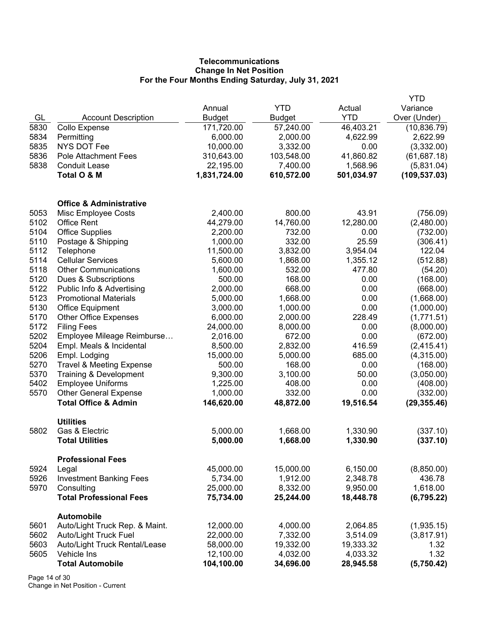# **Telecommunications Change In Net Position For the Four Months Ending Saturday, July 31, 2021**

|      |                                              |               |            |            | YTD           |
|------|----------------------------------------------|---------------|------------|------------|---------------|
|      |                                              | Annual        | <b>YTD</b> | Actual     | Variance      |
| GL   | <b>Account Description</b>                   | <b>Budget</b> | Budget     | <b>YTD</b> | Over (Under)  |
| 5830 | Collo Expense                                | 171,720.00    | 57,240.00  | 46,403.21  | (10, 836.79)  |
| 5834 | Permitting                                   | 6,000.00      | 2,000.00   | 4,622.99   | 2,622.99      |
| 5835 | <b>NYS DOT Fee</b>                           | 10,000.00     | 3,332.00   | 0.00       | (3,332.00)    |
| 5836 | <b>Pole Attachment Fees</b>                  | 310,643.00    | 103,548.00 | 41,860.82  | (61, 687.18)  |
| 5838 | <b>Conduit Lease</b>                         | 22,195.00     | 7,400.00   | 1,568.96   | (5,831.04)    |
|      | Total O & M                                  | 1,831,724.00  | 610,572.00 | 501,034.97 | (109, 537.03) |
|      | <b>Office &amp; Administrative</b>           |               |            |            |               |
| 5053 | Misc Employee Costs                          | 2,400.00      | 800.00     | 43.91      | (756.09)      |
| 5102 | <b>Office Rent</b>                           | 44,279.00     | 14,760.00  | 12,280.00  | (2,480.00)    |
| 5104 | <b>Office Supplies</b>                       | 2,200.00      | 732.00     | 0.00       | (732.00)      |
| 5110 | Postage & Shipping                           | 1,000.00      | 332.00     | 25.59      | (306.41)      |
| 5112 | Telephone                                    | 11,500.00     | 3,832.00   | 3,954.04   | 122.04        |
| 5114 | <b>Cellular Services</b>                     | 5,600.00      | 1,868.00   | 1,355.12   | (512.88)      |
| 5118 | <b>Other Communications</b>                  | 1,600.00      | 532.00     | 477.80     | (54.20)       |
| 5120 | Dues & Subscriptions                         | 500.00        | 168.00     | 0.00       | (168.00)      |
| 5122 | Public Info & Advertising                    | 2,000.00      | 668.00     | 0.00       | (668.00)      |
| 5123 | <b>Promotional Materials</b>                 | 5,000.00      | 1,668.00   | 0.00       | (1,668.00)    |
| 5130 | <b>Office Equipment</b>                      | 3,000.00      | 1,000.00   | 0.00       | (1,000.00)    |
| 5170 | <b>Other Office Expenses</b>                 | 6,000.00      | 2,000.00   | 228.49     | (1,771.51)    |
| 5172 | <b>Filing Fees</b>                           | 24,000.00     | 8,000.00   | 0.00       | (8,000.00)    |
| 5202 | Employee Mileage Reimburse                   | 2,016.00      | 672.00     | 0.00       | (672.00)      |
| 5204 | Empl. Meals & Incidental                     | 8,500.00      | 2,832.00   | 416.59     | (2, 415.41)   |
| 5206 | Empl. Lodging                                | 15,000.00     | 5,000.00   | 685.00     | (4,315.00)    |
| 5270 | <b>Travel &amp; Meeting Expense</b>          | 500.00        | 168.00     | 0.00       | (168.00)      |
| 5370 | Training & Development                       | 9,300.00      | 3,100.00   | 50.00      | (3,050.00)    |
| 5402 | <b>Employee Uniforms</b>                     | 1,225.00      | 408.00     | 0.00       | (408.00)      |
| 5570 | <b>Other General Expense</b>                 | 1,000.00      | 332.00     | 0.00       | (332.00)      |
|      | <b>Total Office &amp; Admin</b>              | 146,620.00    | 48,872.00  | 19,516.54  | (29, 355.46)  |
| 5802 | <b>Utilities</b><br>Gas & Electric           | 5,000.00      | 1,668.00   | 1,330.90   | (337.10)      |
|      | <b>Total Utilities</b>                       | 5,000.00      | 1,668.00   | 1,330.90   | (337.10)      |
|      | <b>Professional Fees</b>                     |               |            |            |               |
| 5924 | Legal                                        | 45,000.00     | 15,000.00  | 6,150.00   | (8,850.00)    |
| 5926 | <b>Investment Banking Fees</b>               | 5,734.00      | 1,912.00   | 2,348.78   | 436.78        |
| 5970 | Consulting                                   | 25,000.00     | 8,332.00   | 9,950.00   | 1,618.00      |
|      | <b>Total Professional Fees</b>               | 75,734.00     | 25,244.00  | 18,448.78  | (6, 795.22)   |
| 5601 | Automobile<br>Auto/Light Truck Rep. & Maint. | 12,000.00     | 4,000.00   | 2,064.85   | (1,935.15)    |
| 5602 | Auto/Light Truck Fuel                        | 22,000.00     | 7,332.00   | 3,514.09   | (3,817.91)    |
| 5603 | Auto/Light Truck Rental/Lease                | 58,000.00     | 19,332.00  | 19,333.32  | 1.32          |
| 5605 | Vehicle Ins                                  | 12,100.00     | 4,032.00   | 4,033.32   | 1.32          |
|      | <b>Total Automobile</b>                      | 104,100.00    | 34,696.00  | 28,945.58  | (5,750.42)    |
|      |                                              |               |            |            |               |

Page 14 of 30 Change in Net Position - Current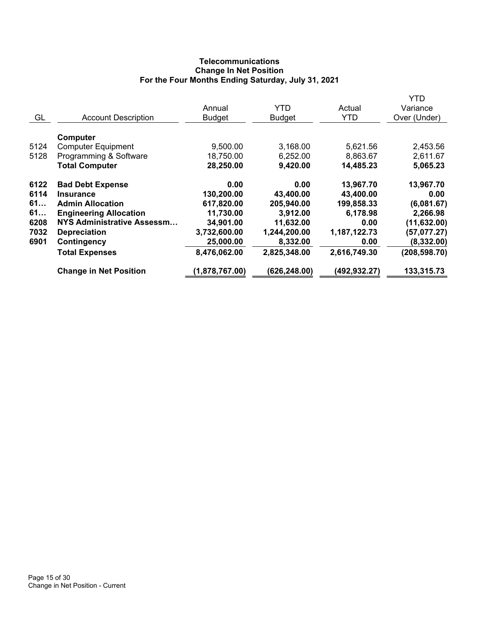# **Telecommunications Change In Net Position For the Four Months Ending Saturday, July 31, 2021**

|      |                                   |                |               |              | YTD           |
|------|-----------------------------------|----------------|---------------|--------------|---------------|
|      |                                   | Annual         | <b>YTD</b>    | Actual       | Variance      |
| GL   | <b>Account Description</b>        | <b>Budget</b>  | <b>Budget</b> | <b>YTD</b>   | Over (Under)  |
|      |                                   |                |               |              |               |
|      | Computer                          |                |               |              |               |
| 5124 | <b>Computer Equipment</b>         | 9,500.00       | 3,168.00      | 5,621.56     | 2,453.56      |
| 5128 | Programming & Software            | 18,750.00      | 6,252.00      | 8,863.67     | 2,611.67      |
|      | <b>Total Computer</b>             | 28,250.00      | 9,420.00      | 14,485.23    | 5,065.23      |
| 6122 | <b>Bad Debt Expense</b>           | 0.00           | 0.00          | 13,967.70    | 13,967.70     |
| 6114 | <b>Insurance</b>                  | 130,200.00     | 43,400.00     | 43,400.00    | 0.00          |
| 61   | <b>Admin Allocation</b>           | 617,820.00     | 205,940.00    | 199,858.33   | (6,081.67)    |
| 61   | <b>Engineering Allocation</b>     | 11,730.00      | 3,912.00      | 6,178.98     | 2,266.98      |
| 6208 | <b>NYS Administrative Assessm</b> | 34,901.00      | 11,632.00     | 0.00         | (11, 632.00)  |
| 7032 | <b>Depreciation</b>               | 3,732,600.00   | 1,244,200.00  | 1,187,122.73 | (57,077.27)   |
| 6901 | Contingency                       | 25,000.00      | 8,332.00      | 0.00         | (8, 332.00)   |
|      | <b>Total Expenses</b>             | 8,476,062.00   | 2,825,348.00  | 2,616,749.30 | (208, 598.70) |
|      | <b>Change in Net Position</b>     | (1,878,767.00) | (626, 248.00) | (492,932.27) | 133,315.73    |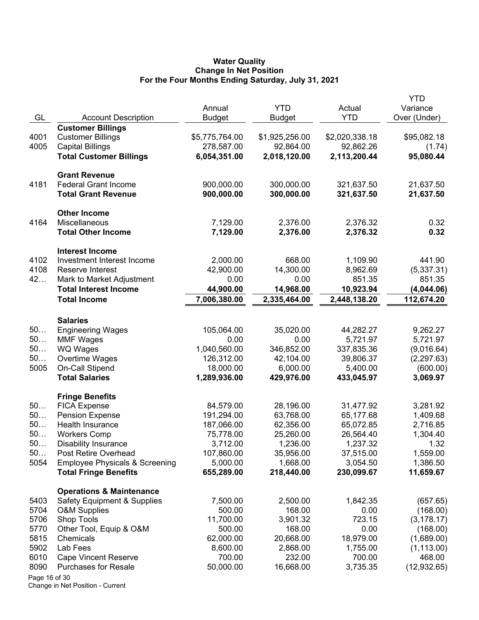#### **Water Quality Change In Net Position For the Four Months Ending Saturday, July 31, 2021**

| <b>Customer Billings</b><br>4001<br><b>Customer Billings</b><br>\$5,775,764.00<br>\$1,925,256.00<br>\$2,020,338.18<br>\$95,082.18<br>4005<br><b>Capital Billings</b><br>278,587.00<br>92,864.00<br>92,862.26<br><b>Total Customer Billings</b><br>6,054,351.00<br>2,018,120.00<br>2,113,200.44<br>95,080.44<br><b>Grant Revenue</b><br><b>Federal Grant Income</b><br>900,000.00<br>300,000.00<br>4181<br>321,637.50<br>21,637.50<br>900,000.00<br><b>Total Grant Revenue</b><br>300,000.00<br>321,637.50<br>21,637.50<br><b>Other Income</b><br>Miscellaneous<br>4164<br>7,129.00<br>2,376.00<br>2,376.32<br>0.32<br><b>Total Other Income</b><br>7,129.00<br>0.32<br>2,376.00<br>2,376.32<br><b>Interest Income</b><br>4102<br>Investment Interest Income<br>2,000.00<br>668.00<br>1,109.90<br>441.90<br>4108<br>Reserve Interest<br>42,900.00<br>14,300.00<br>8,962.69<br>(5,337.31)<br>42<br>851.35<br>Mark to Market Adjustment<br>0.00<br>0.00<br>851.35<br><b>Total Interest Income</b><br>44,900.00<br>14,968.00<br>10,923.94<br>(4,044.06)<br>7,006,380.00<br><b>Total Income</b><br>2,448,138.20<br>2,335,464.00<br>112,674.20<br><b>Salaries</b><br>50<br>105,064.00<br>35,020.00<br>44,282.27<br>9,262.27<br><b>Engineering Wages</b><br>50<br>5,721.97<br>5,721.97<br><b>MMF Wages</b><br>0.00<br>0.00<br>50<br>WQ Wages<br>1,040,560.00<br>346,852.00<br>337,835.36<br>(9,016.64)<br>50<br>Overtime Wages<br>126,312.00<br>42,104.00<br>39,806.37<br>(2, 297.63)<br>5005<br>On-Call Stipend<br>18,000.00<br>6,000.00<br>5,400.00<br>(600.00)<br><b>Total Salaries</b><br>1,289,936.00<br>429,976.00<br>3,069.97<br>433,045.97<br><b>Fringe Benefits</b><br>50<br><b>FICA Expense</b><br>84,579.00<br>28,196.00<br>31,477.92<br>3,281.92<br>50<br><b>Pension Expense</b><br>191,294.00<br>63,768.00<br>65,177.68<br>1,409.68<br>50<br>Health Insurance<br>187,066.00<br>62,356.00<br>65,072.85<br>2,716.85<br>50<br><b>Workers Comp</b><br>75,778.00<br>26,564.40<br>25,260.00<br>1,304.40<br>50<br>3,712.00<br>1,236.00<br>1,237.32<br>1.32<br><b>Disability Insurance</b><br>50<br>Post Retire Overhead<br>107,860.00<br>35,956.00<br>37,515.00<br>1,559.00<br>5054<br><b>Employee Physicals &amp; Screening</b><br>5,000.00<br>1,668.00<br>3,054.50<br>1,386.50<br><b>Total Fringe Benefits</b><br>655,289.00<br>218,440.00<br>230,099.67<br>11,659.67<br><b>Operations &amp; Maintenance</b><br>1,842.35<br><b>Safety Equipment &amp; Supplies</b><br>7,500.00<br>2,500.00<br>5403<br>(657.65)<br>5704<br><b>O&amp;M Supplies</b><br>500.00<br>168.00<br>0.00<br>(168.00)<br>5706<br>Shop Tools<br>3,901.32<br>723.15<br>11,700.00<br>(3, 178.17)<br>5770<br>Other Tool, Equip & O&M<br>500.00<br>168.00<br>0.00<br>(168.00)<br>5815<br>62,000.00<br>20,668.00<br>18,979.00<br>(1,689.00)<br>Chemicals<br>5902<br>Lab Fees<br>8,600.00<br>2,868.00<br>1,755.00<br>(1, 113.00)<br>6010<br>700.00<br>468.00<br><b>Cape Vincent Reserve</b><br>700.00<br>232.00<br>8090<br>16,668.00<br>3,735.35<br><b>Purchases for Resale</b><br>50,000.00<br>(12, 932.65)<br>Page 16 of 30 | GL | <b>Account Description</b> | Annual<br><b>Budget</b> | <b>YTD</b><br><b>Budget</b> | Actual<br><b>YTD</b> | YTD<br>Variance<br>Over (Under) |
|---------------------------------------------------------------------------------------------------------------------------------------------------------------------------------------------------------------------------------------------------------------------------------------------------------------------------------------------------------------------------------------------------------------------------------------------------------------------------------------------------------------------------------------------------------------------------------------------------------------------------------------------------------------------------------------------------------------------------------------------------------------------------------------------------------------------------------------------------------------------------------------------------------------------------------------------------------------------------------------------------------------------------------------------------------------------------------------------------------------------------------------------------------------------------------------------------------------------------------------------------------------------------------------------------------------------------------------------------------------------------------------------------------------------------------------------------------------------------------------------------------------------------------------------------------------------------------------------------------------------------------------------------------------------------------------------------------------------------------------------------------------------------------------------------------------------------------------------------------------------------------------------------------------------------------------------------------------------------------------------------------------------------------------------------------------------------------------------------------------------------------------------------------------------------------------------------------------------------------------------------------------------------------------------------------------------------------------------------------------------------------------------------------------------------------------------------------------------------------------------------------------------------------------------------------------------------------------------------------------------------------------------------------------------------------------------------------------------------------------------------------------------------------------------------------------------------------------------------------------------------------------------------------------------------------------------------------------------------------------------------------------------------------------------------------------------------------------------|----|----------------------------|-------------------------|-----------------------------|----------------------|---------------------------------|
|                                                                                                                                                                                                                                                                                                                                                                                                                                                                                                                                                                                                                                                                                                                                                                                                                                                                                                                                                                                                                                                                                                                                                                                                                                                                                                                                                                                                                                                                                                                                                                                                                                                                                                                                                                                                                                                                                                                                                                                                                                                                                                                                                                                                                                                                                                                                                                                                                                                                                                                                                                                                                                                                                                                                                                                                                                                                                                                                                                                                                                                                                             |    |                            |                         |                             |                      |                                 |
|                                                                                                                                                                                                                                                                                                                                                                                                                                                                                                                                                                                                                                                                                                                                                                                                                                                                                                                                                                                                                                                                                                                                                                                                                                                                                                                                                                                                                                                                                                                                                                                                                                                                                                                                                                                                                                                                                                                                                                                                                                                                                                                                                                                                                                                                                                                                                                                                                                                                                                                                                                                                                                                                                                                                                                                                                                                                                                                                                                                                                                                                                             |    |                            |                         |                             |                      |                                 |
|                                                                                                                                                                                                                                                                                                                                                                                                                                                                                                                                                                                                                                                                                                                                                                                                                                                                                                                                                                                                                                                                                                                                                                                                                                                                                                                                                                                                                                                                                                                                                                                                                                                                                                                                                                                                                                                                                                                                                                                                                                                                                                                                                                                                                                                                                                                                                                                                                                                                                                                                                                                                                                                                                                                                                                                                                                                                                                                                                                                                                                                                                             |    |                            |                         |                             |                      | (1.74)                          |
|                                                                                                                                                                                                                                                                                                                                                                                                                                                                                                                                                                                                                                                                                                                                                                                                                                                                                                                                                                                                                                                                                                                                                                                                                                                                                                                                                                                                                                                                                                                                                                                                                                                                                                                                                                                                                                                                                                                                                                                                                                                                                                                                                                                                                                                                                                                                                                                                                                                                                                                                                                                                                                                                                                                                                                                                                                                                                                                                                                                                                                                                                             |    |                            |                         |                             |                      |                                 |
|                                                                                                                                                                                                                                                                                                                                                                                                                                                                                                                                                                                                                                                                                                                                                                                                                                                                                                                                                                                                                                                                                                                                                                                                                                                                                                                                                                                                                                                                                                                                                                                                                                                                                                                                                                                                                                                                                                                                                                                                                                                                                                                                                                                                                                                                                                                                                                                                                                                                                                                                                                                                                                                                                                                                                                                                                                                                                                                                                                                                                                                                                             |    |                            |                         |                             |                      |                                 |
|                                                                                                                                                                                                                                                                                                                                                                                                                                                                                                                                                                                                                                                                                                                                                                                                                                                                                                                                                                                                                                                                                                                                                                                                                                                                                                                                                                                                                                                                                                                                                                                                                                                                                                                                                                                                                                                                                                                                                                                                                                                                                                                                                                                                                                                                                                                                                                                                                                                                                                                                                                                                                                                                                                                                                                                                                                                                                                                                                                                                                                                                                             |    |                            |                         |                             |                      |                                 |
|                                                                                                                                                                                                                                                                                                                                                                                                                                                                                                                                                                                                                                                                                                                                                                                                                                                                                                                                                                                                                                                                                                                                                                                                                                                                                                                                                                                                                                                                                                                                                                                                                                                                                                                                                                                                                                                                                                                                                                                                                                                                                                                                                                                                                                                                                                                                                                                                                                                                                                                                                                                                                                                                                                                                                                                                                                                                                                                                                                                                                                                                                             |    |                            |                         |                             |                      |                                 |
|                                                                                                                                                                                                                                                                                                                                                                                                                                                                                                                                                                                                                                                                                                                                                                                                                                                                                                                                                                                                                                                                                                                                                                                                                                                                                                                                                                                                                                                                                                                                                                                                                                                                                                                                                                                                                                                                                                                                                                                                                                                                                                                                                                                                                                                                                                                                                                                                                                                                                                                                                                                                                                                                                                                                                                                                                                                                                                                                                                                                                                                                                             |    |                            |                         |                             |                      |                                 |
|                                                                                                                                                                                                                                                                                                                                                                                                                                                                                                                                                                                                                                                                                                                                                                                                                                                                                                                                                                                                                                                                                                                                                                                                                                                                                                                                                                                                                                                                                                                                                                                                                                                                                                                                                                                                                                                                                                                                                                                                                                                                                                                                                                                                                                                                                                                                                                                                                                                                                                                                                                                                                                                                                                                                                                                                                                                                                                                                                                                                                                                                                             |    |                            |                         |                             |                      |                                 |
|                                                                                                                                                                                                                                                                                                                                                                                                                                                                                                                                                                                                                                                                                                                                                                                                                                                                                                                                                                                                                                                                                                                                                                                                                                                                                                                                                                                                                                                                                                                                                                                                                                                                                                                                                                                                                                                                                                                                                                                                                                                                                                                                                                                                                                                                                                                                                                                                                                                                                                                                                                                                                                                                                                                                                                                                                                                                                                                                                                                                                                                                                             |    |                            |                         |                             |                      |                                 |
|                                                                                                                                                                                                                                                                                                                                                                                                                                                                                                                                                                                                                                                                                                                                                                                                                                                                                                                                                                                                                                                                                                                                                                                                                                                                                                                                                                                                                                                                                                                                                                                                                                                                                                                                                                                                                                                                                                                                                                                                                                                                                                                                                                                                                                                                                                                                                                                                                                                                                                                                                                                                                                                                                                                                                                                                                                                                                                                                                                                                                                                                                             |    |                            |                         |                             |                      |                                 |
|                                                                                                                                                                                                                                                                                                                                                                                                                                                                                                                                                                                                                                                                                                                                                                                                                                                                                                                                                                                                                                                                                                                                                                                                                                                                                                                                                                                                                                                                                                                                                                                                                                                                                                                                                                                                                                                                                                                                                                                                                                                                                                                                                                                                                                                                                                                                                                                                                                                                                                                                                                                                                                                                                                                                                                                                                                                                                                                                                                                                                                                                                             |    |                            |                         |                             |                      |                                 |
|                                                                                                                                                                                                                                                                                                                                                                                                                                                                                                                                                                                                                                                                                                                                                                                                                                                                                                                                                                                                                                                                                                                                                                                                                                                                                                                                                                                                                                                                                                                                                                                                                                                                                                                                                                                                                                                                                                                                                                                                                                                                                                                                                                                                                                                                                                                                                                                                                                                                                                                                                                                                                                                                                                                                                                                                                                                                                                                                                                                                                                                                                             |    |                            |                         |                             |                      |                                 |
|                                                                                                                                                                                                                                                                                                                                                                                                                                                                                                                                                                                                                                                                                                                                                                                                                                                                                                                                                                                                                                                                                                                                                                                                                                                                                                                                                                                                                                                                                                                                                                                                                                                                                                                                                                                                                                                                                                                                                                                                                                                                                                                                                                                                                                                                                                                                                                                                                                                                                                                                                                                                                                                                                                                                                                                                                                                                                                                                                                                                                                                                                             |    |                            |                         |                             |                      |                                 |
|                                                                                                                                                                                                                                                                                                                                                                                                                                                                                                                                                                                                                                                                                                                                                                                                                                                                                                                                                                                                                                                                                                                                                                                                                                                                                                                                                                                                                                                                                                                                                                                                                                                                                                                                                                                                                                                                                                                                                                                                                                                                                                                                                                                                                                                                                                                                                                                                                                                                                                                                                                                                                                                                                                                                                                                                                                                                                                                                                                                                                                                                                             |    |                            |                         |                             |                      |                                 |
|                                                                                                                                                                                                                                                                                                                                                                                                                                                                                                                                                                                                                                                                                                                                                                                                                                                                                                                                                                                                                                                                                                                                                                                                                                                                                                                                                                                                                                                                                                                                                                                                                                                                                                                                                                                                                                                                                                                                                                                                                                                                                                                                                                                                                                                                                                                                                                                                                                                                                                                                                                                                                                                                                                                                                                                                                                                                                                                                                                                                                                                                                             |    |                            |                         |                             |                      |                                 |
|                                                                                                                                                                                                                                                                                                                                                                                                                                                                                                                                                                                                                                                                                                                                                                                                                                                                                                                                                                                                                                                                                                                                                                                                                                                                                                                                                                                                                                                                                                                                                                                                                                                                                                                                                                                                                                                                                                                                                                                                                                                                                                                                                                                                                                                                                                                                                                                                                                                                                                                                                                                                                                                                                                                                                                                                                                                                                                                                                                                                                                                                                             |    |                            |                         |                             |                      |                                 |
|                                                                                                                                                                                                                                                                                                                                                                                                                                                                                                                                                                                                                                                                                                                                                                                                                                                                                                                                                                                                                                                                                                                                                                                                                                                                                                                                                                                                                                                                                                                                                                                                                                                                                                                                                                                                                                                                                                                                                                                                                                                                                                                                                                                                                                                                                                                                                                                                                                                                                                                                                                                                                                                                                                                                                                                                                                                                                                                                                                                                                                                                                             |    |                            |                         |                             |                      |                                 |
|                                                                                                                                                                                                                                                                                                                                                                                                                                                                                                                                                                                                                                                                                                                                                                                                                                                                                                                                                                                                                                                                                                                                                                                                                                                                                                                                                                                                                                                                                                                                                                                                                                                                                                                                                                                                                                                                                                                                                                                                                                                                                                                                                                                                                                                                                                                                                                                                                                                                                                                                                                                                                                                                                                                                                                                                                                                                                                                                                                                                                                                                                             |    |                            |                         |                             |                      |                                 |
|                                                                                                                                                                                                                                                                                                                                                                                                                                                                                                                                                                                                                                                                                                                                                                                                                                                                                                                                                                                                                                                                                                                                                                                                                                                                                                                                                                                                                                                                                                                                                                                                                                                                                                                                                                                                                                                                                                                                                                                                                                                                                                                                                                                                                                                                                                                                                                                                                                                                                                                                                                                                                                                                                                                                                                                                                                                                                                                                                                                                                                                                                             |    |                            |                         |                             |                      |                                 |
|                                                                                                                                                                                                                                                                                                                                                                                                                                                                                                                                                                                                                                                                                                                                                                                                                                                                                                                                                                                                                                                                                                                                                                                                                                                                                                                                                                                                                                                                                                                                                                                                                                                                                                                                                                                                                                                                                                                                                                                                                                                                                                                                                                                                                                                                                                                                                                                                                                                                                                                                                                                                                                                                                                                                                                                                                                                                                                                                                                                                                                                                                             |    |                            |                         |                             |                      |                                 |
|                                                                                                                                                                                                                                                                                                                                                                                                                                                                                                                                                                                                                                                                                                                                                                                                                                                                                                                                                                                                                                                                                                                                                                                                                                                                                                                                                                                                                                                                                                                                                                                                                                                                                                                                                                                                                                                                                                                                                                                                                                                                                                                                                                                                                                                                                                                                                                                                                                                                                                                                                                                                                                                                                                                                                                                                                                                                                                                                                                                                                                                                                             |    |                            |                         |                             |                      |                                 |
|                                                                                                                                                                                                                                                                                                                                                                                                                                                                                                                                                                                                                                                                                                                                                                                                                                                                                                                                                                                                                                                                                                                                                                                                                                                                                                                                                                                                                                                                                                                                                                                                                                                                                                                                                                                                                                                                                                                                                                                                                                                                                                                                                                                                                                                                                                                                                                                                                                                                                                                                                                                                                                                                                                                                                                                                                                                                                                                                                                                                                                                                                             |    |                            |                         |                             |                      |                                 |
|                                                                                                                                                                                                                                                                                                                                                                                                                                                                                                                                                                                                                                                                                                                                                                                                                                                                                                                                                                                                                                                                                                                                                                                                                                                                                                                                                                                                                                                                                                                                                                                                                                                                                                                                                                                                                                                                                                                                                                                                                                                                                                                                                                                                                                                                                                                                                                                                                                                                                                                                                                                                                                                                                                                                                                                                                                                                                                                                                                                                                                                                                             |    |                            |                         |                             |                      |                                 |
|                                                                                                                                                                                                                                                                                                                                                                                                                                                                                                                                                                                                                                                                                                                                                                                                                                                                                                                                                                                                                                                                                                                                                                                                                                                                                                                                                                                                                                                                                                                                                                                                                                                                                                                                                                                                                                                                                                                                                                                                                                                                                                                                                                                                                                                                                                                                                                                                                                                                                                                                                                                                                                                                                                                                                                                                                                                                                                                                                                                                                                                                                             |    |                            |                         |                             |                      |                                 |
|                                                                                                                                                                                                                                                                                                                                                                                                                                                                                                                                                                                                                                                                                                                                                                                                                                                                                                                                                                                                                                                                                                                                                                                                                                                                                                                                                                                                                                                                                                                                                                                                                                                                                                                                                                                                                                                                                                                                                                                                                                                                                                                                                                                                                                                                                                                                                                                                                                                                                                                                                                                                                                                                                                                                                                                                                                                                                                                                                                                                                                                                                             |    |                            |                         |                             |                      |                                 |
|                                                                                                                                                                                                                                                                                                                                                                                                                                                                                                                                                                                                                                                                                                                                                                                                                                                                                                                                                                                                                                                                                                                                                                                                                                                                                                                                                                                                                                                                                                                                                                                                                                                                                                                                                                                                                                                                                                                                                                                                                                                                                                                                                                                                                                                                                                                                                                                                                                                                                                                                                                                                                                                                                                                                                                                                                                                                                                                                                                                                                                                                                             |    |                            |                         |                             |                      |                                 |
|                                                                                                                                                                                                                                                                                                                                                                                                                                                                                                                                                                                                                                                                                                                                                                                                                                                                                                                                                                                                                                                                                                                                                                                                                                                                                                                                                                                                                                                                                                                                                                                                                                                                                                                                                                                                                                                                                                                                                                                                                                                                                                                                                                                                                                                                                                                                                                                                                                                                                                                                                                                                                                                                                                                                                                                                                                                                                                                                                                                                                                                                                             |    |                            |                         |                             |                      |                                 |
|                                                                                                                                                                                                                                                                                                                                                                                                                                                                                                                                                                                                                                                                                                                                                                                                                                                                                                                                                                                                                                                                                                                                                                                                                                                                                                                                                                                                                                                                                                                                                                                                                                                                                                                                                                                                                                                                                                                                                                                                                                                                                                                                                                                                                                                                                                                                                                                                                                                                                                                                                                                                                                                                                                                                                                                                                                                                                                                                                                                                                                                                                             |    |                            |                         |                             |                      |                                 |
|                                                                                                                                                                                                                                                                                                                                                                                                                                                                                                                                                                                                                                                                                                                                                                                                                                                                                                                                                                                                                                                                                                                                                                                                                                                                                                                                                                                                                                                                                                                                                                                                                                                                                                                                                                                                                                                                                                                                                                                                                                                                                                                                                                                                                                                                                                                                                                                                                                                                                                                                                                                                                                                                                                                                                                                                                                                                                                                                                                                                                                                                                             |    |                            |                         |                             |                      |                                 |
|                                                                                                                                                                                                                                                                                                                                                                                                                                                                                                                                                                                                                                                                                                                                                                                                                                                                                                                                                                                                                                                                                                                                                                                                                                                                                                                                                                                                                                                                                                                                                                                                                                                                                                                                                                                                                                                                                                                                                                                                                                                                                                                                                                                                                                                                                                                                                                                                                                                                                                                                                                                                                                                                                                                                                                                                                                                                                                                                                                                                                                                                                             |    |                            |                         |                             |                      |                                 |
|                                                                                                                                                                                                                                                                                                                                                                                                                                                                                                                                                                                                                                                                                                                                                                                                                                                                                                                                                                                                                                                                                                                                                                                                                                                                                                                                                                                                                                                                                                                                                                                                                                                                                                                                                                                                                                                                                                                                                                                                                                                                                                                                                                                                                                                                                                                                                                                                                                                                                                                                                                                                                                                                                                                                                                                                                                                                                                                                                                                                                                                                                             |    |                            |                         |                             |                      |                                 |
|                                                                                                                                                                                                                                                                                                                                                                                                                                                                                                                                                                                                                                                                                                                                                                                                                                                                                                                                                                                                                                                                                                                                                                                                                                                                                                                                                                                                                                                                                                                                                                                                                                                                                                                                                                                                                                                                                                                                                                                                                                                                                                                                                                                                                                                                                                                                                                                                                                                                                                                                                                                                                                                                                                                                                                                                                                                                                                                                                                                                                                                                                             |    |                            |                         |                             |                      |                                 |
|                                                                                                                                                                                                                                                                                                                                                                                                                                                                                                                                                                                                                                                                                                                                                                                                                                                                                                                                                                                                                                                                                                                                                                                                                                                                                                                                                                                                                                                                                                                                                                                                                                                                                                                                                                                                                                                                                                                                                                                                                                                                                                                                                                                                                                                                                                                                                                                                                                                                                                                                                                                                                                                                                                                                                                                                                                                                                                                                                                                                                                                                                             |    |                            |                         |                             |                      |                                 |
|                                                                                                                                                                                                                                                                                                                                                                                                                                                                                                                                                                                                                                                                                                                                                                                                                                                                                                                                                                                                                                                                                                                                                                                                                                                                                                                                                                                                                                                                                                                                                                                                                                                                                                                                                                                                                                                                                                                                                                                                                                                                                                                                                                                                                                                                                                                                                                                                                                                                                                                                                                                                                                                                                                                                                                                                                                                                                                                                                                                                                                                                                             |    |                            |                         |                             |                      |                                 |
|                                                                                                                                                                                                                                                                                                                                                                                                                                                                                                                                                                                                                                                                                                                                                                                                                                                                                                                                                                                                                                                                                                                                                                                                                                                                                                                                                                                                                                                                                                                                                                                                                                                                                                                                                                                                                                                                                                                                                                                                                                                                                                                                                                                                                                                                                                                                                                                                                                                                                                                                                                                                                                                                                                                                                                                                                                                                                                                                                                                                                                                                                             |    |                            |                         |                             |                      |                                 |
|                                                                                                                                                                                                                                                                                                                                                                                                                                                                                                                                                                                                                                                                                                                                                                                                                                                                                                                                                                                                                                                                                                                                                                                                                                                                                                                                                                                                                                                                                                                                                                                                                                                                                                                                                                                                                                                                                                                                                                                                                                                                                                                                                                                                                                                                                                                                                                                                                                                                                                                                                                                                                                                                                                                                                                                                                                                                                                                                                                                                                                                                                             |    |                            |                         |                             |                      |                                 |
|                                                                                                                                                                                                                                                                                                                                                                                                                                                                                                                                                                                                                                                                                                                                                                                                                                                                                                                                                                                                                                                                                                                                                                                                                                                                                                                                                                                                                                                                                                                                                                                                                                                                                                                                                                                                                                                                                                                                                                                                                                                                                                                                                                                                                                                                                                                                                                                                                                                                                                                                                                                                                                                                                                                                                                                                                                                                                                                                                                                                                                                                                             |    |                            |                         |                             |                      |                                 |
|                                                                                                                                                                                                                                                                                                                                                                                                                                                                                                                                                                                                                                                                                                                                                                                                                                                                                                                                                                                                                                                                                                                                                                                                                                                                                                                                                                                                                                                                                                                                                                                                                                                                                                                                                                                                                                                                                                                                                                                                                                                                                                                                                                                                                                                                                                                                                                                                                                                                                                                                                                                                                                                                                                                                                                                                                                                                                                                                                                                                                                                                                             |    |                            |                         |                             |                      |                                 |
|                                                                                                                                                                                                                                                                                                                                                                                                                                                                                                                                                                                                                                                                                                                                                                                                                                                                                                                                                                                                                                                                                                                                                                                                                                                                                                                                                                                                                                                                                                                                                                                                                                                                                                                                                                                                                                                                                                                                                                                                                                                                                                                                                                                                                                                                                                                                                                                                                                                                                                                                                                                                                                                                                                                                                                                                                                                                                                                                                                                                                                                                                             |    |                            |                         |                             |                      |                                 |
|                                                                                                                                                                                                                                                                                                                                                                                                                                                                                                                                                                                                                                                                                                                                                                                                                                                                                                                                                                                                                                                                                                                                                                                                                                                                                                                                                                                                                                                                                                                                                                                                                                                                                                                                                                                                                                                                                                                                                                                                                                                                                                                                                                                                                                                                                                                                                                                                                                                                                                                                                                                                                                                                                                                                                                                                                                                                                                                                                                                                                                                                                             |    |                            |                         |                             |                      |                                 |

Change in Net Position - Current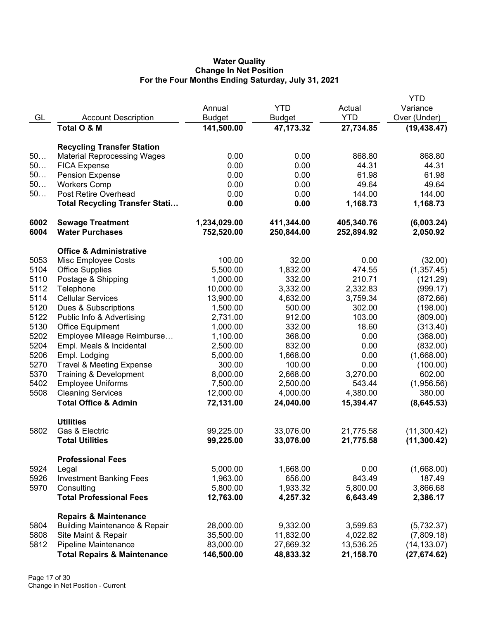## **Water Quality Change In Net Position For the Four Months Ending Saturday, July 31, 2021**

| <b>YTD</b><br>Variance<br>Annual<br>Actual<br>GL<br><b>YTD</b><br>Over (Under)<br><b>Account Description</b><br><b>Budget</b><br><b>Budget</b><br>Total O & M<br>141,500.00<br>47, 173.32<br>27,734.85<br>(19, 438.47)<br><b>Recycling Transfer Station</b><br>50<br>0.00<br>0.00<br>868.80<br>868.80<br><b>Material Reprocessing Wages</b><br>50<br>0.00<br>0.00<br>44.31<br>44.31<br><b>FICA Expense</b><br>50<br>0.00<br>0.00<br>61.98<br>61.98<br><b>Pension Expense</b><br>50<br>49.64<br><b>Workers Comp</b><br>0.00<br>0.00<br>49.64<br>50<br>Post Retire Overhead<br>0.00<br>0.00<br>144.00<br>144.00<br><b>Total Recycling Transfer Stati</b><br>0.00<br>0.00<br>1,168.73<br>1,168.73<br>6002<br>1,234,029.00<br>405,340.76<br>(6,003.24)<br><b>Sewage Treatment</b><br>411,344.00<br>6004<br><b>Water Purchases</b><br>752,520.00<br>250,844.00<br>252,894.92<br>2,050.92<br><b>Office &amp; Administrative</b><br>5053<br>100.00<br>32.00<br>0.00<br>Misc Employee Costs<br>(32.00)<br>5104<br>5,500.00<br>1,832.00<br>474.55<br><b>Office Supplies</b><br>(1,357.45)<br>5110<br>210.71<br>Postage & Shipping<br>1,000.00<br>332.00<br>(121.29)<br>5112<br>Telephone<br>10,000.00<br>3,332.00<br>2,332.83<br>(999.17)<br>5114<br><b>Cellular Services</b><br>13,900.00<br>4,632.00<br>3,759.34<br>(872.66)<br>5120<br>Dues & Subscriptions<br>1,500.00<br>500.00<br>302.00<br>(198.00)<br>5122<br>Public Info & Advertising<br>912.00<br>103.00<br>2,731.00<br>(809.00)<br>5130<br>332.00<br>18.60<br><b>Office Equipment</b><br>1,000.00<br>(313.40)<br>5202<br>Employee Mileage Reimburse<br>368.00<br>0.00<br>1,100.00<br>(368.00)<br>5204<br>832.00<br>0.00<br>Empl. Meals & Incidental<br>2,500.00<br>(832.00)<br>5206<br>Empl. Lodging<br>1,668.00<br>0.00<br>(1,668.00)<br>5,000.00<br>5270<br><b>Travel &amp; Meeting Expense</b><br>300.00<br>100.00<br>0.00<br>(100.00)<br>5370<br>2,668.00<br>Training & Development<br>8,000.00<br>3,270.00<br>602.00<br>5402<br><b>Employee Uniforms</b><br>543.44<br>(1,956.56)<br>7,500.00<br>2,500.00<br>5508<br><b>Cleaning Services</b><br>4,380.00<br>12,000.00<br>4,000.00<br>380.00<br><b>Total Office &amp; Admin</b><br>72,131.00<br>24,040.00<br>15,394.47<br>(8,645.53)<br><b>Utilities</b><br>Gas & Electric<br>5802<br>99,225.00<br>33,076.00<br>21,775.58<br>(11,300.42)<br>(11, 300.42)<br><b>Total Utilities</b><br>99,225.00<br>33,076.00<br>21,775.58<br><b>Professional Fees</b><br>5924<br>5,000.00<br>1,668.00<br>0.00<br>(1,668.00)<br>Legal<br>5926<br><b>Investment Banking Fees</b><br>1,963.00<br>656.00<br>843.49<br>187.49<br>3,866.68<br>5970<br>Consulting<br>5,800.00<br>1,933.32<br>5,800.00<br><b>Total Professional Fees</b><br>12,763.00<br>6,643.49<br>2,386.17<br>4,257.32<br><b>Repairs &amp; Maintenance</b><br><b>Building Maintenance &amp; Repair</b><br>9,332.00<br>(5,732.37)<br>5804<br>28,000.00<br>3,599.63<br>5808<br>Site Maint & Repair<br>35,500.00<br>11,832.00<br>4,022.82<br>(7,809.18)<br>5812<br>Pipeline Maintenance<br>83,000.00<br>27,669.32<br>13,536.25<br>(14, 133.07)<br><b>Total Repairs &amp; Maintenance</b><br>146,500.00<br>(27, 674.62)<br>48,833.32<br>21,158.70 |  |  | <b>YTD</b> |
|-------------------------------------------------------------------------------------------------------------------------------------------------------------------------------------------------------------------------------------------------------------------------------------------------------------------------------------------------------------------------------------------------------------------------------------------------------------------------------------------------------------------------------------------------------------------------------------------------------------------------------------------------------------------------------------------------------------------------------------------------------------------------------------------------------------------------------------------------------------------------------------------------------------------------------------------------------------------------------------------------------------------------------------------------------------------------------------------------------------------------------------------------------------------------------------------------------------------------------------------------------------------------------------------------------------------------------------------------------------------------------------------------------------------------------------------------------------------------------------------------------------------------------------------------------------------------------------------------------------------------------------------------------------------------------------------------------------------------------------------------------------------------------------------------------------------------------------------------------------------------------------------------------------------------------------------------------------------------------------------------------------------------------------------------------------------------------------------------------------------------------------------------------------------------------------------------------------------------------------------------------------------------------------------------------------------------------------------------------------------------------------------------------------------------------------------------------------------------------------------------------------------------------------------------------------------------------------------------------------------------------------------------------------------------------------------------------------------------------------------------------------------------------------------------------------------------------------------------------------------------------------------------------------------------------------------------------------------------------------------------------------------------------------------------------------------------------------------------------------------------------------------------------------------------------------------------|--|--|------------|
|                                                                                                                                                                                                                                                                                                                                                                                                                                                                                                                                                                                                                                                                                                                                                                                                                                                                                                                                                                                                                                                                                                                                                                                                                                                                                                                                                                                                                                                                                                                                                                                                                                                                                                                                                                                                                                                                                                                                                                                                                                                                                                                                                                                                                                                                                                                                                                                                                                                                                                                                                                                                                                                                                                                                                                                                                                                                                                                                                                                                                                                                                                                                                                                                 |  |  |            |
|                                                                                                                                                                                                                                                                                                                                                                                                                                                                                                                                                                                                                                                                                                                                                                                                                                                                                                                                                                                                                                                                                                                                                                                                                                                                                                                                                                                                                                                                                                                                                                                                                                                                                                                                                                                                                                                                                                                                                                                                                                                                                                                                                                                                                                                                                                                                                                                                                                                                                                                                                                                                                                                                                                                                                                                                                                                                                                                                                                                                                                                                                                                                                                                                 |  |  |            |
|                                                                                                                                                                                                                                                                                                                                                                                                                                                                                                                                                                                                                                                                                                                                                                                                                                                                                                                                                                                                                                                                                                                                                                                                                                                                                                                                                                                                                                                                                                                                                                                                                                                                                                                                                                                                                                                                                                                                                                                                                                                                                                                                                                                                                                                                                                                                                                                                                                                                                                                                                                                                                                                                                                                                                                                                                                                                                                                                                                                                                                                                                                                                                                                                 |  |  |            |
|                                                                                                                                                                                                                                                                                                                                                                                                                                                                                                                                                                                                                                                                                                                                                                                                                                                                                                                                                                                                                                                                                                                                                                                                                                                                                                                                                                                                                                                                                                                                                                                                                                                                                                                                                                                                                                                                                                                                                                                                                                                                                                                                                                                                                                                                                                                                                                                                                                                                                                                                                                                                                                                                                                                                                                                                                                                                                                                                                                                                                                                                                                                                                                                                 |  |  |            |
|                                                                                                                                                                                                                                                                                                                                                                                                                                                                                                                                                                                                                                                                                                                                                                                                                                                                                                                                                                                                                                                                                                                                                                                                                                                                                                                                                                                                                                                                                                                                                                                                                                                                                                                                                                                                                                                                                                                                                                                                                                                                                                                                                                                                                                                                                                                                                                                                                                                                                                                                                                                                                                                                                                                                                                                                                                                                                                                                                                                                                                                                                                                                                                                                 |  |  |            |
|                                                                                                                                                                                                                                                                                                                                                                                                                                                                                                                                                                                                                                                                                                                                                                                                                                                                                                                                                                                                                                                                                                                                                                                                                                                                                                                                                                                                                                                                                                                                                                                                                                                                                                                                                                                                                                                                                                                                                                                                                                                                                                                                                                                                                                                                                                                                                                                                                                                                                                                                                                                                                                                                                                                                                                                                                                                                                                                                                                                                                                                                                                                                                                                                 |  |  |            |
|                                                                                                                                                                                                                                                                                                                                                                                                                                                                                                                                                                                                                                                                                                                                                                                                                                                                                                                                                                                                                                                                                                                                                                                                                                                                                                                                                                                                                                                                                                                                                                                                                                                                                                                                                                                                                                                                                                                                                                                                                                                                                                                                                                                                                                                                                                                                                                                                                                                                                                                                                                                                                                                                                                                                                                                                                                                                                                                                                                                                                                                                                                                                                                                                 |  |  |            |
|                                                                                                                                                                                                                                                                                                                                                                                                                                                                                                                                                                                                                                                                                                                                                                                                                                                                                                                                                                                                                                                                                                                                                                                                                                                                                                                                                                                                                                                                                                                                                                                                                                                                                                                                                                                                                                                                                                                                                                                                                                                                                                                                                                                                                                                                                                                                                                                                                                                                                                                                                                                                                                                                                                                                                                                                                                                                                                                                                                                                                                                                                                                                                                                                 |  |  |            |
|                                                                                                                                                                                                                                                                                                                                                                                                                                                                                                                                                                                                                                                                                                                                                                                                                                                                                                                                                                                                                                                                                                                                                                                                                                                                                                                                                                                                                                                                                                                                                                                                                                                                                                                                                                                                                                                                                                                                                                                                                                                                                                                                                                                                                                                                                                                                                                                                                                                                                                                                                                                                                                                                                                                                                                                                                                                                                                                                                                                                                                                                                                                                                                                                 |  |  |            |
|                                                                                                                                                                                                                                                                                                                                                                                                                                                                                                                                                                                                                                                                                                                                                                                                                                                                                                                                                                                                                                                                                                                                                                                                                                                                                                                                                                                                                                                                                                                                                                                                                                                                                                                                                                                                                                                                                                                                                                                                                                                                                                                                                                                                                                                                                                                                                                                                                                                                                                                                                                                                                                                                                                                                                                                                                                                                                                                                                                                                                                                                                                                                                                                                 |  |  |            |
|                                                                                                                                                                                                                                                                                                                                                                                                                                                                                                                                                                                                                                                                                                                                                                                                                                                                                                                                                                                                                                                                                                                                                                                                                                                                                                                                                                                                                                                                                                                                                                                                                                                                                                                                                                                                                                                                                                                                                                                                                                                                                                                                                                                                                                                                                                                                                                                                                                                                                                                                                                                                                                                                                                                                                                                                                                                                                                                                                                                                                                                                                                                                                                                                 |  |  |            |
|                                                                                                                                                                                                                                                                                                                                                                                                                                                                                                                                                                                                                                                                                                                                                                                                                                                                                                                                                                                                                                                                                                                                                                                                                                                                                                                                                                                                                                                                                                                                                                                                                                                                                                                                                                                                                                                                                                                                                                                                                                                                                                                                                                                                                                                                                                                                                                                                                                                                                                                                                                                                                                                                                                                                                                                                                                                                                                                                                                                                                                                                                                                                                                                                 |  |  |            |
|                                                                                                                                                                                                                                                                                                                                                                                                                                                                                                                                                                                                                                                                                                                                                                                                                                                                                                                                                                                                                                                                                                                                                                                                                                                                                                                                                                                                                                                                                                                                                                                                                                                                                                                                                                                                                                                                                                                                                                                                                                                                                                                                                                                                                                                                                                                                                                                                                                                                                                                                                                                                                                                                                                                                                                                                                                                                                                                                                                                                                                                                                                                                                                                                 |  |  |            |
|                                                                                                                                                                                                                                                                                                                                                                                                                                                                                                                                                                                                                                                                                                                                                                                                                                                                                                                                                                                                                                                                                                                                                                                                                                                                                                                                                                                                                                                                                                                                                                                                                                                                                                                                                                                                                                                                                                                                                                                                                                                                                                                                                                                                                                                                                                                                                                                                                                                                                                                                                                                                                                                                                                                                                                                                                                                                                                                                                                                                                                                                                                                                                                                                 |  |  |            |
|                                                                                                                                                                                                                                                                                                                                                                                                                                                                                                                                                                                                                                                                                                                                                                                                                                                                                                                                                                                                                                                                                                                                                                                                                                                                                                                                                                                                                                                                                                                                                                                                                                                                                                                                                                                                                                                                                                                                                                                                                                                                                                                                                                                                                                                                                                                                                                                                                                                                                                                                                                                                                                                                                                                                                                                                                                                                                                                                                                                                                                                                                                                                                                                                 |  |  |            |
|                                                                                                                                                                                                                                                                                                                                                                                                                                                                                                                                                                                                                                                                                                                                                                                                                                                                                                                                                                                                                                                                                                                                                                                                                                                                                                                                                                                                                                                                                                                                                                                                                                                                                                                                                                                                                                                                                                                                                                                                                                                                                                                                                                                                                                                                                                                                                                                                                                                                                                                                                                                                                                                                                                                                                                                                                                                                                                                                                                                                                                                                                                                                                                                                 |  |  |            |
|                                                                                                                                                                                                                                                                                                                                                                                                                                                                                                                                                                                                                                                                                                                                                                                                                                                                                                                                                                                                                                                                                                                                                                                                                                                                                                                                                                                                                                                                                                                                                                                                                                                                                                                                                                                                                                                                                                                                                                                                                                                                                                                                                                                                                                                                                                                                                                                                                                                                                                                                                                                                                                                                                                                                                                                                                                                                                                                                                                                                                                                                                                                                                                                                 |  |  |            |
|                                                                                                                                                                                                                                                                                                                                                                                                                                                                                                                                                                                                                                                                                                                                                                                                                                                                                                                                                                                                                                                                                                                                                                                                                                                                                                                                                                                                                                                                                                                                                                                                                                                                                                                                                                                                                                                                                                                                                                                                                                                                                                                                                                                                                                                                                                                                                                                                                                                                                                                                                                                                                                                                                                                                                                                                                                                                                                                                                                                                                                                                                                                                                                                                 |  |  |            |
|                                                                                                                                                                                                                                                                                                                                                                                                                                                                                                                                                                                                                                                                                                                                                                                                                                                                                                                                                                                                                                                                                                                                                                                                                                                                                                                                                                                                                                                                                                                                                                                                                                                                                                                                                                                                                                                                                                                                                                                                                                                                                                                                                                                                                                                                                                                                                                                                                                                                                                                                                                                                                                                                                                                                                                                                                                                                                                                                                                                                                                                                                                                                                                                                 |  |  |            |
|                                                                                                                                                                                                                                                                                                                                                                                                                                                                                                                                                                                                                                                                                                                                                                                                                                                                                                                                                                                                                                                                                                                                                                                                                                                                                                                                                                                                                                                                                                                                                                                                                                                                                                                                                                                                                                                                                                                                                                                                                                                                                                                                                                                                                                                                                                                                                                                                                                                                                                                                                                                                                                                                                                                                                                                                                                                                                                                                                                                                                                                                                                                                                                                                 |  |  |            |
|                                                                                                                                                                                                                                                                                                                                                                                                                                                                                                                                                                                                                                                                                                                                                                                                                                                                                                                                                                                                                                                                                                                                                                                                                                                                                                                                                                                                                                                                                                                                                                                                                                                                                                                                                                                                                                                                                                                                                                                                                                                                                                                                                                                                                                                                                                                                                                                                                                                                                                                                                                                                                                                                                                                                                                                                                                                                                                                                                                                                                                                                                                                                                                                                 |  |  |            |
|                                                                                                                                                                                                                                                                                                                                                                                                                                                                                                                                                                                                                                                                                                                                                                                                                                                                                                                                                                                                                                                                                                                                                                                                                                                                                                                                                                                                                                                                                                                                                                                                                                                                                                                                                                                                                                                                                                                                                                                                                                                                                                                                                                                                                                                                                                                                                                                                                                                                                                                                                                                                                                                                                                                                                                                                                                                                                                                                                                                                                                                                                                                                                                                                 |  |  |            |
|                                                                                                                                                                                                                                                                                                                                                                                                                                                                                                                                                                                                                                                                                                                                                                                                                                                                                                                                                                                                                                                                                                                                                                                                                                                                                                                                                                                                                                                                                                                                                                                                                                                                                                                                                                                                                                                                                                                                                                                                                                                                                                                                                                                                                                                                                                                                                                                                                                                                                                                                                                                                                                                                                                                                                                                                                                                                                                                                                                                                                                                                                                                                                                                                 |  |  |            |
|                                                                                                                                                                                                                                                                                                                                                                                                                                                                                                                                                                                                                                                                                                                                                                                                                                                                                                                                                                                                                                                                                                                                                                                                                                                                                                                                                                                                                                                                                                                                                                                                                                                                                                                                                                                                                                                                                                                                                                                                                                                                                                                                                                                                                                                                                                                                                                                                                                                                                                                                                                                                                                                                                                                                                                                                                                                                                                                                                                                                                                                                                                                                                                                                 |  |  |            |
|                                                                                                                                                                                                                                                                                                                                                                                                                                                                                                                                                                                                                                                                                                                                                                                                                                                                                                                                                                                                                                                                                                                                                                                                                                                                                                                                                                                                                                                                                                                                                                                                                                                                                                                                                                                                                                                                                                                                                                                                                                                                                                                                                                                                                                                                                                                                                                                                                                                                                                                                                                                                                                                                                                                                                                                                                                                                                                                                                                                                                                                                                                                                                                                                 |  |  |            |
|                                                                                                                                                                                                                                                                                                                                                                                                                                                                                                                                                                                                                                                                                                                                                                                                                                                                                                                                                                                                                                                                                                                                                                                                                                                                                                                                                                                                                                                                                                                                                                                                                                                                                                                                                                                                                                                                                                                                                                                                                                                                                                                                                                                                                                                                                                                                                                                                                                                                                                                                                                                                                                                                                                                                                                                                                                                                                                                                                                                                                                                                                                                                                                                                 |  |  |            |
|                                                                                                                                                                                                                                                                                                                                                                                                                                                                                                                                                                                                                                                                                                                                                                                                                                                                                                                                                                                                                                                                                                                                                                                                                                                                                                                                                                                                                                                                                                                                                                                                                                                                                                                                                                                                                                                                                                                                                                                                                                                                                                                                                                                                                                                                                                                                                                                                                                                                                                                                                                                                                                                                                                                                                                                                                                                                                                                                                                                                                                                                                                                                                                                                 |  |  |            |
|                                                                                                                                                                                                                                                                                                                                                                                                                                                                                                                                                                                                                                                                                                                                                                                                                                                                                                                                                                                                                                                                                                                                                                                                                                                                                                                                                                                                                                                                                                                                                                                                                                                                                                                                                                                                                                                                                                                                                                                                                                                                                                                                                                                                                                                                                                                                                                                                                                                                                                                                                                                                                                                                                                                                                                                                                                                                                                                                                                                                                                                                                                                                                                                                 |  |  |            |
|                                                                                                                                                                                                                                                                                                                                                                                                                                                                                                                                                                                                                                                                                                                                                                                                                                                                                                                                                                                                                                                                                                                                                                                                                                                                                                                                                                                                                                                                                                                                                                                                                                                                                                                                                                                                                                                                                                                                                                                                                                                                                                                                                                                                                                                                                                                                                                                                                                                                                                                                                                                                                                                                                                                                                                                                                                                                                                                                                                                                                                                                                                                                                                                                 |  |  |            |
|                                                                                                                                                                                                                                                                                                                                                                                                                                                                                                                                                                                                                                                                                                                                                                                                                                                                                                                                                                                                                                                                                                                                                                                                                                                                                                                                                                                                                                                                                                                                                                                                                                                                                                                                                                                                                                                                                                                                                                                                                                                                                                                                                                                                                                                                                                                                                                                                                                                                                                                                                                                                                                                                                                                                                                                                                                                                                                                                                                                                                                                                                                                                                                                                 |  |  |            |
|                                                                                                                                                                                                                                                                                                                                                                                                                                                                                                                                                                                                                                                                                                                                                                                                                                                                                                                                                                                                                                                                                                                                                                                                                                                                                                                                                                                                                                                                                                                                                                                                                                                                                                                                                                                                                                                                                                                                                                                                                                                                                                                                                                                                                                                                                                                                                                                                                                                                                                                                                                                                                                                                                                                                                                                                                                                                                                                                                                                                                                                                                                                                                                                                 |  |  |            |
|                                                                                                                                                                                                                                                                                                                                                                                                                                                                                                                                                                                                                                                                                                                                                                                                                                                                                                                                                                                                                                                                                                                                                                                                                                                                                                                                                                                                                                                                                                                                                                                                                                                                                                                                                                                                                                                                                                                                                                                                                                                                                                                                                                                                                                                                                                                                                                                                                                                                                                                                                                                                                                                                                                                                                                                                                                                                                                                                                                                                                                                                                                                                                                                                 |  |  |            |
|                                                                                                                                                                                                                                                                                                                                                                                                                                                                                                                                                                                                                                                                                                                                                                                                                                                                                                                                                                                                                                                                                                                                                                                                                                                                                                                                                                                                                                                                                                                                                                                                                                                                                                                                                                                                                                                                                                                                                                                                                                                                                                                                                                                                                                                                                                                                                                                                                                                                                                                                                                                                                                                                                                                                                                                                                                                                                                                                                                                                                                                                                                                                                                                                 |  |  |            |
|                                                                                                                                                                                                                                                                                                                                                                                                                                                                                                                                                                                                                                                                                                                                                                                                                                                                                                                                                                                                                                                                                                                                                                                                                                                                                                                                                                                                                                                                                                                                                                                                                                                                                                                                                                                                                                                                                                                                                                                                                                                                                                                                                                                                                                                                                                                                                                                                                                                                                                                                                                                                                                                                                                                                                                                                                                                                                                                                                                                                                                                                                                                                                                                                 |  |  |            |
|                                                                                                                                                                                                                                                                                                                                                                                                                                                                                                                                                                                                                                                                                                                                                                                                                                                                                                                                                                                                                                                                                                                                                                                                                                                                                                                                                                                                                                                                                                                                                                                                                                                                                                                                                                                                                                                                                                                                                                                                                                                                                                                                                                                                                                                                                                                                                                                                                                                                                                                                                                                                                                                                                                                                                                                                                                                                                                                                                                                                                                                                                                                                                                                                 |  |  |            |
|                                                                                                                                                                                                                                                                                                                                                                                                                                                                                                                                                                                                                                                                                                                                                                                                                                                                                                                                                                                                                                                                                                                                                                                                                                                                                                                                                                                                                                                                                                                                                                                                                                                                                                                                                                                                                                                                                                                                                                                                                                                                                                                                                                                                                                                                                                                                                                                                                                                                                                                                                                                                                                                                                                                                                                                                                                                                                                                                                                                                                                                                                                                                                                                                 |  |  |            |
|                                                                                                                                                                                                                                                                                                                                                                                                                                                                                                                                                                                                                                                                                                                                                                                                                                                                                                                                                                                                                                                                                                                                                                                                                                                                                                                                                                                                                                                                                                                                                                                                                                                                                                                                                                                                                                                                                                                                                                                                                                                                                                                                                                                                                                                                                                                                                                                                                                                                                                                                                                                                                                                                                                                                                                                                                                                                                                                                                                                                                                                                                                                                                                                                 |  |  |            |
|                                                                                                                                                                                                                                                                                                                                                                                                                                                                                                                                                                                                                                                                                                                                                                                                                                                                                                                                                                                                                                                                                                                                                                                                                                                                                                                                                                                                                                                                                                                                                                                                                                                                                                                                                                                                                                                                                                                                                                                                                                                                                                                                                                                                                                                                                                                                                                                                                                                                                                                                                                                                                                                                                                                                                                                                                                                                                                                                                                                                                                                                                                                                                                                                 |  |  |            |
|                                                                                                                                                                                                                                                                                                                                                                                                                                                                                                                                                                                                                                                                                                                                                                                                                                                                                                                                                                                                                                                                                                                                                                                                                                                                                                                                                                                                                                                                                                                                                                                                                                                                                                                                                                                                                                                                                                                                                                                                                                                                                                                                                                                                                                                                                                                                                                                                                                                                                                                                                                                                                                                                                                                                                                                                                                                                                                                                                                                                                                                                                                                                                                                                 |  |  |            |
|                                                                                                                                                                                                                                                                                                                                                                                                                                                                                                                                                                                                                                                                                                                                                                                                                                                                                                                                                                                                                                                                                                                                                                                                                                                                                                                                                                                                                                                                                                                                                                                                                                                                                                                                                                                                                                                                                                                                                                                                                                                                                                                                                                                                                                                                                                                                                                                                                                                                                                                                                                                                                                                                                                                                                                                                                                                                                                                                                                                                                                                                                                                                                                                                 |  |  |            |
|                                                                                                                                                                                                                                                                                                                                                                                                                                                                                                                                                                                                                                                                                                                                                                                                                                                                                                                                                                                                                                                                                                                                                                                                                                                                                                                                                                                                                                                                                                                                                                                                                                                                                                                                                                                                                                                                                                                                                                                                                                                                                                                                                                                                                                                                                                                                                                                                                                                                                                                                                                                                                                                                                                                                                                                                                                                                                                                                                                                                                                                                                                                                                                                                 |  |  |            |
|                                                                                                                                                                                                                                                                                                                                                                                                                                                                                                                                                                                                                                                                                                                                                                                                                                                                                                                                                                                                                                                                                                                                                                                                                                                                                                                                                                                                                                                                                                                                                                                                                                                                                                                                                                                                                                                                                                                                                                                                                                                                                                                                                                                                                                                                                                                                                                                                                                                                                                                                                                                                                                                                                                                                                                                                                                                                                                                                                                                                                                                                                                                                                                                                 |  |  |            |
|                                                                                                                                                                                                                                                                                                                                                                                                                                                                                                                                                                                                                                                                                                                                                                                                                                                                                                                                                                                                                                                                                                                                                                                                                                                                                                                                                                                                                                                                                                                                                                                                                                                                                                                                                                                                                                                                                                                                                                                                                                                                                                                                                                                                                                                                                                                                                                                                                                                                                                                                                                                                                                                                                                                                                                                                                                                                                                                                                                                                                                                                                                                                                                                                 |  |  |            |
|                                                                                                                                                                                                                                                                                                                                                                                                                                                                                                                                                                                                                                                                                                                                                                                                                                                                                                                                                                                                                                                                                                                                                                                                                                                                                                                                                                                                                                                                                                                                                                                                                                                                                                                                                                                                                                                                                                                                                                                                                                                                                                                                                                                                                                                                                                                                                                                                                                                                                                                                                                                                                                                                                                                                                                                                                                                                                                                                                                                                                                                                                                                                                                                                 |  |  |            |
|                                                                                                                                                                                                                                                                                                                                                                                                                                                                                                                                                                                                                                                                                                                                                                                                                                                                                                                                                                                                                                                                                                                                                                                                                                                                                                                                                                                                                                                                                                                                                                                                                                                                                                                                                                                                                                                                                                                                                                                                                                                                                                                                                                                                                                                                                                                                                                                                                                                                                                                                                                                                                                                                                                                                                                                                                                                                                                                                                                                                                                                                                                                                                                                                 |  |  |            |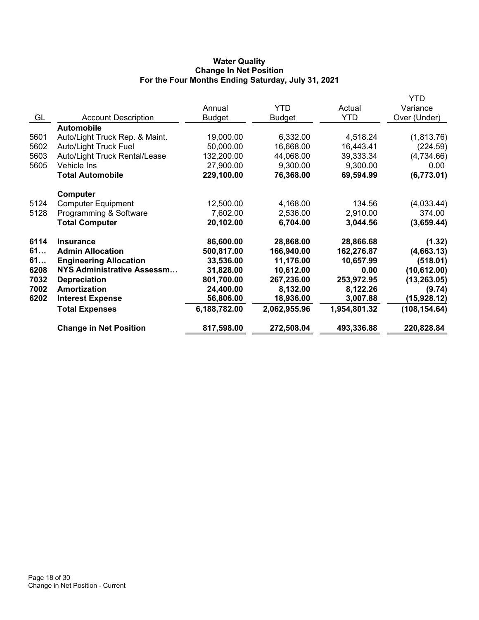### **Water Quality Change In Net Position For the Four Months Ending Saturday, July 31, 2021**

|      |                                   |               |              |              | YTD           |
|------|-----------------------------------|---------------|--------------|--------------|---------------|
|      |                                   | Annual        | <b>YTD</b>   | Actual       | Variance      |
| GL   | <b>Account Description</b>        | <b>Budget</b> | Budget       | <b>YTD</b>   | Over (Under)  |
|      | <b>Automobile</b>                 |               |              |              |               |
| 5601 | Auto/Light Truck Rep. & Maint.    | 19,000.00     | 6,332.00     | 4,518.24     | (1,813.76)    |
| 5602 | <b>Auto/Light Truck Fuel</b>      | 50,000.00     | 16,668.00    | 16,443.41    | (224.59)      |
| 5603 | Auto/Light Truck Rental/Lease     | 132,200.00    | 44,068.00    | 39,333.34    | (4,734.66)    |
| 5605 | Vehicle Ins                       | 27,900.00     | 9,300.00     | 9,300.00     | 0.00          |
|      | <b>Total Automobile</b>           | 229,100.00    | 76,368.00    | 69,594.99    | (6,773.01)    |
|      | Computer                          |               |              |              |               |
| 5124 | <b>Computer Equipment</b>         | 12,500.00     | 4,168.00     | 134.56       | (4,033.44)    |
| 5128 | Programming & Software            | 7,602.00      | 2,536.00     | 2,910.00     | 374.00        |
|      | <b>Total Computer</b>             | 20,102.00     | 6,704.00     | 3,044.56     | (3,659.44)    |
| 6114 | <b>Insurance</b>                  | 86,600.00     | 28,868.00    | 28,866.68    | (1.32)        |
| 61   | <b>Admin Allocation</b>           | 500,817.00    | 166,940.00   | 162,276.87   | (4,663.13)    |
| 61   | <b>Engineering Allocation</b>     | 33,536.00     | 11,176.00    | 10,657.99    | (518.01)      |
| 6208 | <b>NYS Administrative Assessm</b> | 31,828.00     | 10,612.00    | 0.00         | (10, 612.00)  |
| 7032 | <b>Depreciation</b>               | 801,700.00    | 267,236.00   | 253,972.95   | (13, 263.05)  |
| 7002 | <b>Amortization</b>               | 24,400.00     | 8,132.00     | 8,122.26     | (9.74)        |
| 6202 | <b>Interest Expense</b>           | 56,806.00     | 18,936.00    | 3,007.88     | (15,928.12)   |
|      | <b>Total Expenses</b>             | 6,188,782.00  | 2,062,955.96 | 1,954,801.32 | (108, 154.64) |
|      | <b>Change in Net Position</b>     | 817,598.00    | 272,508.04   | 493,336.88   | 220,828.84    |
|      |                                   |               |              |              |               |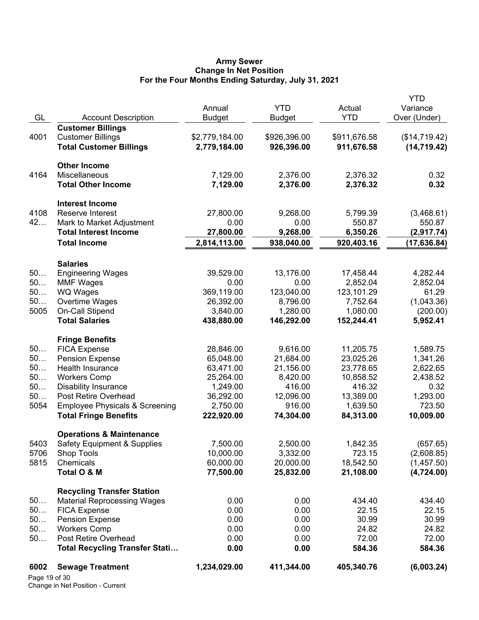#### **Army Sewer Change In Net Position For the Four Months Ending Saturday, July 31, 2021**

| 6002<br>Page 19 of 30 | <b>Sewage Treatment</b>                                                 | 1,234,029.00   | 411,344.00    | 405,340.76   | (6,003.24)    |
|-----------------------|-------------------------------------------------------------------------|----------------|---------------|--------------|---------------|
|                       | <b>Total Recycling Transfer Stati</b>                                   | 0.00           | 0.00          | 584.36       | 584.36        |
| 50                    | Post Retire Overhead                                                    | 0.00           | 0.00          | 72.00        | 72.00         |
| 50                    | <b>Workers Comp</b>                                                     | 0.00           | 0.00          | 24.82        | 24.82         |
| 50                    | <b>Pension Expense</b>                                                  | 0.00           | 0.00          | 30.99        | 30.99         |
| 50                    | <b>FICA Expense</b>                                                     | 0.00           | 0.00          | 22.15        | 22.15         |
| 50                    | <b>Recycling Transfer Station</b><br><b>Material Reprocessing Wages</b> | 0.00           | 0.00          | 434.40       | 434.40        |
|                       |                                                                         |                |               |              |               |
|                       | Total O & M                                                             | 77,500.00      | 25,832.00     | 21,108.00    | (4,724.00)    |
| 5815                  | Chemicals                                                               | 60,000.00      | 20,000.00     | 18,542.50    | (1,457.50)    |
| 5706                  | Shop Tools                                                              | 10,000.00      | 3,332.00      | 723.15       | (2,608.85)    |
| 5403                  | Safety Equipment & Supplies                                             | 7,500.00       | 2,500.00      | 1,842.35     | (657.65)      |
|                       | <b>Operations &amp; Maintenance</b>                                     |                |               |              |               |
|                       | <b>Total Fringe Benefits</b>                                            | 222,920.00     | 74,304.00     | 84,313.00    | 10,009.00     |
| 5054                  | <b>Employee Physicals &amp; Screening</b>                               | 2,750.00       | 916.00        | 1,639.50     | 723.50        |
| 50                    | Post Retire Overhead                                                    | 36,292.00      | 12,096.00     | 13,389.00    | 1,293.00      |
| 50                    | <b>Disability Insurance</b>                                             | 1,249.00       | 416.00        | 416.32       | 0.32          |
| 50                    | <b>Workers Comp</b>                                                     | 25,264.00      | 8,420.00      | 10,858.52    | 2,438.52      |
| 50                    | Health Insurance                                                        | 63,471.00      | 21,156.00     | 23,778.65    | 2,622.65      |
| 50                    | <b>Pension Expense</b>                                                  | 65,048.00      | 21,684.00     | 23,025.26    | 1,341.26      |
| 50                    | <b>FICA Expense</b>                                                     | 28,846.00      | 9,616.00      | 11,205.75    | 1,589.75      |
|                       | <b>Fringe Benefits</b>                                                  |                |               |              |               |
|                       | <b>Total Salaries</b>                                                   | 438,880.00     | 146,292.00    | 152,244.41   | 5,952.41      |
| 5005                  | On-Call Stipend                                                         | 3,840.00       | 1,280.00      | 1,080.00     | (200.00)      |
| 50                    | Overtime Wages                                                          | 26,392.00      | 8,796.00      | 7,752.64     | (1,043.36)    |
| 50                    | WQ Wages                                                                | 369,119.00     | 123,040.00    | 123,101.29   | 61.29         |
| 50                    | <b>MMF Wages</b>                                                        | 0.00           | 0.00          | 2,852.04     | 2,852.04      |
| 50                    | <b>Engineering Wages</b>                                                | 39,529.00      | 13,176.00     | 17,458.44    | 4,282.44      |
|                       | <b>Salaries</b>                                                         |                |               |              |               |
|                       |                                                                         |                |               |              |               |
|                       | <b>Total Income</b>                                                     | 2,814,113.00   | 938,040.00    | 920,403.16   | (17, 636.84)  |
|                       | <b>Total Interest Income</b>                                            | 27,800.00      | 9,268.00      | 6,350.26     | (2,917.74)    |
| 42                    | Mark to Market Adjustment                                               | 0.00           | 0.00          | 550.87       | 550.87        |
| 4108                  | Reserve Interest                                                        | 27,800.00      | 9,268.00      | 5,799.39     | (3,468.61)    |
|                       | <b>Interest Income</b>                                                  |                |               |              |               |
|                       | <b>Total Other Income</b>                                               | 7,129.00       | 2,376.00      | 2,376.32     | 0.32          |
| 4164                  | Miscellaneous                                                           | 7,129.00       | 2,376.00      | 2,376.32     | 0.32          |
|                       | <b>Other Income</b>                                                     |                |               |              |               |
|                       |                                                                         |                |               |              |               |
|                       | <b>Total Customer Billings</b>                                          | 2,779,184.00   | 926,396.00    | 911,676.58   | (14, 719.42)  |
| 4001                  | <b>Customer Billings</b>                                                | \$2,779,184.00 | \$926,396.00  | \$911,676.58 | (\$14,719.42) |
|                       | <b>Customer Billings</b>                                                |                |               |              |               |
| GL                    | <b>Account Description</b>                                              | <b>Budget</b>  | <b>Budget</b> | <b>YTD</b>   | Over (Under)  |
|                       |                                                                         | Annual         | <b>YTD</b>    | Actual       | Variance      |
|                       |                                                                         |                |               |              | <b>YTD</b>    |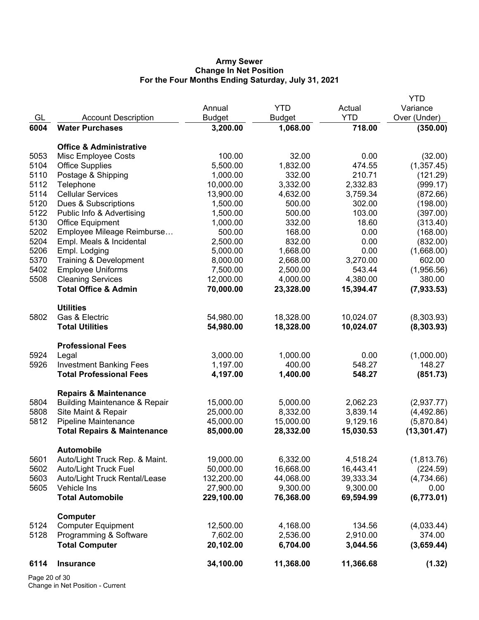### **Army Sewer Change In Net Position For the Four Months Ending Saturday, July 31, 2021**

|      |                                          |               |               |            | <b>YTD</b>   |
|------|------------------------------------------|---------------|---------------|------------|--------------|
|      |                                          | Annual        | <b>YTD</b>    | Actual     | Variance     |
| GL   | <b>Account Description</b>               | <b>Budget</b> | <b>Budget</b> | <b>YTD</b> | Over (Under) |
| 6004 | <b>Water Purchases</b>                   | 3,200.00      | 1,068.00      | 718.00     | (350.00)     |
|      | <b>Office &amp; Administrative</b>       |               |               |            |              |
| 5053 | Misc Employee Costs                      | 100.00        | 32.00         | 0.00       | (32.00)      |
| 5104 | <b>Office Supplies</b>                   | 5,500.00      | 1,832.00      | 474.55     | (1,357.45)   |
| 5110 | Postage & Shipping                       | 1,000.00      | 332.00        | 210.71     | (121.29)     |
| 5112 | Telephone                                | 10,000.00     | 3,332.00      | 2,332.83   | (999.17)     |
| 5114 | <b>Cellular Services</b>                 | 13,900.00     | 4,632.00      | 3,759.34   | (872.66)     |
| 5120 | Dues & Subscriptions                     | 1,500.00      | 500.00        | 302.00     | (198.00)     |
| 5122 | Public Info & Advertising                | 1,500.00      | 500.00        | 103.00     | (397.00)     |
| 5130 | <b>Office Equipment</b>                  | 1,000.00      | 332.00        | 18.60      | (313.40)     |
| 5202 | Employee Mileage Reimburse               | 500.00        | 168.00        | 0.00       | (168.00)     |
| 5204 | Empl. Meals & Incidental                 | 2,500.00      | 832.00        | 0.00       | (832.00)     |
| 5206 | Empl. Lodging                            | 5,000.00      | 1,668.00      | 0.00       | (1,668.00)   |
| 5370 | Training & Development                   | 8,000.00      | 2,668.00      | 3,270.00   | 602.00       |
| 5402 | <b>Employee Uniforms</b>                 | 7,500.00      | 2,500.00      | 543.44     | (1,956.56)   |
| 5508 | <b>Cleaning Services</b>                 | 12,000.00     | 4,000.00      | 4,380.00   | 380.00       |
|      | <b>Total Office &amp; Admin</b>          | 70,000.00     | 23,328.00     | 15,394.47  | (7,933.53)   |
|      |                                          |               |               |            |              |
|      | <b>Utilities</b>                         |               |               |            |              |
| 5802 | Gas & Electric                           | 54,980.00     | 18,328.00     | 10,024.07  | (8,303.93)   |
|      | <b>Total Utilities</b>                   | 54,980.00     | 18,328.00     | 10,024.07  | (8,303.93)   |
|      | <b>Professional Fees</b>                 |               |               |            |              |
| 5924 | Legal                                    | 3,000.00      | 1,000.00      | 0.00       | (1,000.00)   |
| 5926 | <b>Investment Banking Fees</b>           | 1,197.00      | 400.00        | 548.27     | 148.27       |
|      | <b>Total Professional Fees</b>           | 4,197.00      | 1,400.00      | 548.27     | (851.73)     |
|      | <b>Repairs &amp; Maintenance</b>         |               |               |            |              |
| 5804 | <b>Building Maintenance &amp; Repair</b> | 15,000.00     | 5,000.00      | 2,062.23   | (2,937.77)   |
| 5808 | Site Maint & Repair                      | 25,000.00     | 8,332.00      | 3,839.14   | (4,492.86)   |
| 5812 | <b>Pipeline Maintenance</b>              | 45,000.00     | 15,000.00     | 9,129.16   | (5,870.84)   |
|      | <b>Total Repairs &amp; Maintenance</b>   | 85,000.00     | 28,332.00     | 15,030.53  | (13, 301.47) |
|      | <b>Automobile</b>                        |               |               |            |              |
| 5601 | Auto/Light Truck Rep. & Maint.           | 19,000.00     | 6,332.00      | 4,518.24   | (1,813.76)   |
| 5602 | <b>Auto/Light Truck Fuel</b>             | 50,000.00     | 16,668.00     | 16,443.41  | (224.59)     |
| 5603 | Auto/Light Truck Rental/Lease            | 132,200.00    | 44,068.00     | 39,333.34  | (4,734.66)   |
| 5605 | Vehicle Ins                              | 27,900.00     | 9,300.00      | 9,300.00   | 0.00         |
|      | <b>Total Automobile</b>                  | 229,100.00    | 76,368.00     | 69,594.99  | (6,773.01)   |
|      | Computer                                 |               |               |            |              |
| 5124 | <b>Computer Equipment</b>                | 12,500.00     | 4,168.00      | 134.56     | (4,033.44)   |
| 5128 | Programming & Software                   | 7,602.00      | 2,536.00      | 2,910.00   | 374.00       |
|      | <b>Total Computer</b>                    | 20,102.00     | 6,704.00      | 3,044.56   | (3,659.44)   |
| 6114 | <b>Insurance</b>                         | 34,100.00     | 11,368.00     | 11,366.68  | (1.32)       |
|      |                                          |               |               |            |              |

Page 20 of 30 Change in Net Position - Current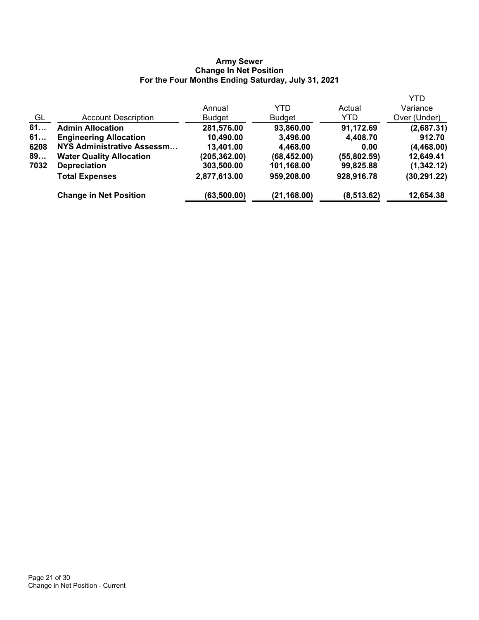#### **Army Sewer Change In Net Position For the Four Months Ending Saturday, July 31, 2021**

|      |                                   |               |               |             | <b>YTD</b>   |
|------|-----------------------------------|---------------|---------------|-------------|--------------|
|      |                                   | Annual        | YTD           | Actual      | Variance     |
| GL   | <b>Account Description</b>        | <b>Budget</b> | <b>Budget</b> | YTD         | Over (Under) |
| 61   | <b>Admin Allocation</b>           | 281,576.00    | 93,860.00     | 91,172.69   | (2,687.31)   |
| 61   | <b>Engineering Allocation</b>     | 10,490.00     | 3,496.00      | 4,408.70    | 912.70       |
| 6208 | <b>NYS Administrative Assessm</b> | 13,401.00     | 4,468.00      | 0.00        | (4,468.00)   |
| 89   | <b>Water Quality Allocation</b>   | (205, 362.00) | (68, 452.00)  | (55,802.59) | 12,649.41    |
| 7032 | <b>Depreciation</b>               | 303,500.00    | 101,168.00    | 99,825.88   | (1, 342.12)  |
|      | <b>Total Expenses</b>             | 2,877,613.00  | 959,208.00    | 928,916.78  | (30, 291.22) |
|      | <b>Change in Net Position</b>     | (63, 500.00)  | (21, 168.00)  | (8, 513.62) | 12,654.38    |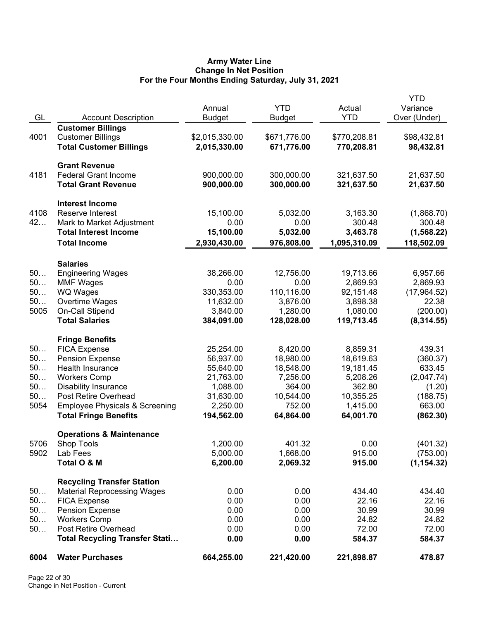## **Army Water Line Change In Net Position For the Four Months Ending Saturday, July 31, 2021**

| GL       | <b>Account Description</b>                                | Annual<br><b>Budget</b> | <b>YTD</b><br><b>Budget</b> | Actual<br><b>YTD</b>   | YTD<br>Variance<br>Over (Under) |
|----------|-----------------------------------------------------------|-------------------------|-----------------------------|------------------------|---------------------------------|
|          | <b>Customer Billings</b>                                  |                         |                             |                        |                                 |
| 4001     | <b>Customer Billings</b>                                  | \$2,015,330.00          | \$671,776.00                | \$770,208.81           | \$98,432.81                     |
|          | <b>Total Customer Billings</b>                            | 2,015,330.00            | 671,776.00                  | 770,208.81             | 98,432.81                       |
|          | <b>Grant Revenue</b>                                      |                         |                             |                        |                                 |
| 4181     | <b>Federal Grant Income</b>                               | 900,000.00              | 300,000.00                  | 321,637.50             | 21,637.50                       |
|          | <b>Total Grant Revenue</b>                                | 900,000.00              | 300,000.00                  | 321,637.50             | 21,637.50                       |
|          | <b>Interest Income</b>                                    |                         |                             |                        |                                 |
| 4108     | Reserve Interest                                          | 15,100.00               | 5,032.00                    | 3,163.30               | (1,868.70)                      |
| 42       | Mark to Market Adjustment<br><b>Total Interest Income</b> | 0.00                    | 0.00                        | 300.48                 | 300.48                          |
|          |                                                           | 15,100.00               | 5,032.00                    | 3,463.78               | (1, 568.22)                     |
|          | <b>Total Income</b>                                       | 2,930,430.00            | 976,808.00                  | 1,095,310.09           | 118,502.09                      |
|          | <b>Salaries</b>                                           |                         |                             |                        |                                 |
| 50       | <b>Engineering Wages</b>                                  | 38,266.00               | 12,756.00                   | 19,713.66              | 6,957.66                        |
| 50       | <b>MMF Wages</b>                                          | 0.00                    | 0.00                        | 2,869.93               | 2,869.93                        |
| 50       | WQ Wages                                                  | 330,353.00              | 110,116.00                  | 92,151.48              | (17,964.52)                     |
| 50       | Overtime Wages                                            | 11,632.00               | 3,876.00                    | 3,898.38               | 22.38                           |
| 5005     | On-Call Stipend                                           | 3,840.00                | 1,280.00                    | 1,080.00               | (200.00)                        |
|          | <b>Total Salaries</b>                                     | 384,091.00              | 128,028.00                  | 119,713.45             | (8, 314.55)                     |
|          | <b>Fringe Benefits</b>                                    |                         |                             |                        |                                 |
| 50       | <b>FICA Expense</b>                                       | 25,254.00               | 8,420.00                    | 8,859.31               | 439.31                          |
| 50<br>50 | <b>Pension Expense</b><br>Health Insurance                | 56,937.00<br>55,640.00  | 18,980.00<br>18,548.00      | 18,619.63<br>19,181.45 | (360.37)                        |
| 50       | <b>Workers Comp</b>                                       | 21,763.00               | 7,256.00                    | 5,208.26               | 633.45<br>(2,047.74)            |
| 50       | <b>Disability Insurance</b>                               | 1,088.00                | 364.00                      | 362.80                 | (1.20)                          |
| 50       | Post Retire Overhead                                      | 31,630.00               | 10,544.00                   | 10,355.25              | (188.75)                        |
| 5054     | <b>Employee Physicals &amp; Screening</b>                 | 2,250.00                | 752.00                      | 1,415.00               | 663.00                          |
|          | <b>Total Fringe Benefits</b>                              | 194,562.00              | 64,864.00                   | 64,001.70              | (862.30)                        |
|          | <b>Operations &amp; Maintenance</b>                       |                         |                             |                        |                                 |
| 5706     | Shop Tools                                                | 1,200.00                | 401.32                      | 0.00                   | (401.32)                        |
| 5902     | Lab Fees                                                  | 5,000.00                | 1,668.00                    | 915.00                 | (753.00)                        |
|          | Total O & M                                               | 6,200.00                | 2,069.32                    | 915.00                 | (1, 154.32)                     |
|          | <b>Recycling Transfer Station</b>                         |                         |                             |                        |                                 |
| 50       | <b>Material Reprocessing Wages</b>                        | 0.00                    | 0.00                        | 434.40                 | 434.40                          |
| 50       | <b>FICA Expense</b>                                       | 0.00                    | 0.00                        | 22.16                  | 22.16                           |
| 50       | <b>Pension Expense</b>                                    | 0.00                    | 0.00                        | 30.99                  | 30.99                           |
| 50       | <b>Workers Comp</b>                                       | 0.00                    | 0.00                        | 24.82                  | 24.82                           |
| 50       | Post Retire Overhead                                      | 0.00                    | 0.00                        | 72.00                  | 72.00                           |
|          | <b>Total Recycling Transfer Stati</b>                     | 0.00                    | 0.00                        | 584.37                 | 584.37                          |
| 6004     | <b>Water Purchases</b>                                    | 664,255.00              | 221,420.00                  | 221,898.87             | 478.87                          |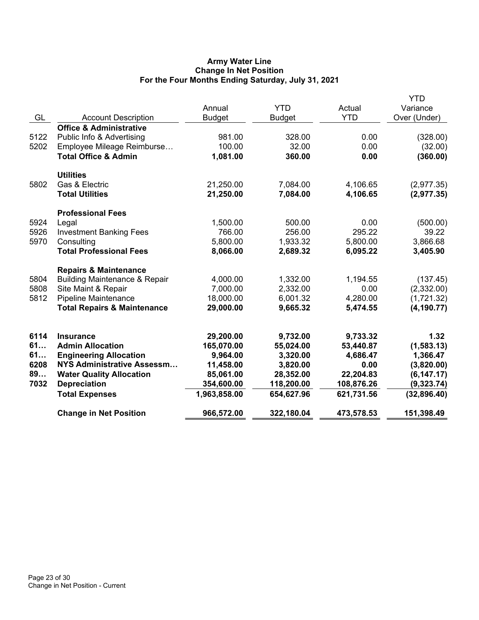## **Army Water Line Change In Net Position For the Four Months Ending Saturday, July 31, 2021**

| GL   | <b>Account Description</b>               | Annual<br><b>Budget</b> | <b>YTD</b><br><b>Budget</b> | Actual<br><b>YTD</b> | YTD<br>Variance<br>Over (Under) |
|------|------------------------------------------|-------------------------|-----------------------------|----------------------|---------------------------------|
|      | <b>Office &amp; Administrative</b>       |                         |                             |                      |                                 |
| 5122 | Public Info & Advertising                | 981.00                  | 328.00                      | 0.00                 | (328.00)                        |
| 5202 | Employee Mileage Reimburse               | 100.00                  | 32.00                       | 0.00                 | (32.00)                         |
|      | <b>Total Office &amp; Admin</b>          | 1,081.00                | 360.00                      | 0.00                 | (360.00)                        |
|      | <b>Utilities</b>                         |                         |                             |                      |                                 |
| 5802 | Gas & Electric                           | 21,250.00               | 7,084.00                    | 4,106.65             | (2,977.35)                      |
|      | <b>Total Utilities</b>                   | 21,250.00               | 7,084.00                    | 4,106.65             | (2,977.35)                      |
|      | <b>Professional Fees</b>                 |                         |                             |                      |                                 |
| 5924 | Legal                                    | 1,500.00                | 500.00                      | 0.00                 | (500.00)                        |
| 5926 | <b>Investment Banking Fees</b>           | 766.00                  | 256.00                      | 295.22               | 39.22                           |
| 5970 | Consulting                               | 5,800.00                | 1,933.32                    | 5,800.00             | 3,866.68                        |
|      | <b>Total Professional Fees</b>           | 8,066.00                | 2,689.32                    | 6,095.22             | 3,405.90                        |
|      | <b>Repairs &amp; Maintenance</b>         |                         |                             |                      |                                 |
| 5804 | <b>Building Maintenance &amp; Repair</b> | 4,000.00                | 1,332.00                    | 1,194.55             | (137.45)                        |
| 5808 | Site Maint & Repair                      | 7,000.00                | 2,332.00                    | 0.00                 | (2,332.00)                      |
| 5812 | Pipeline Maintenance                     | 18,000.00               | 6,001.32                    | 4,280.00             | (1,721.32)                      |
|      | <b>Total Repairs &amp; Maintenance</b>   | 29,000.00               | 9,665.32                    | 5,474.55             | (4, 190.77)                     |
| 6114 | <b>Insurance</b>                         | 29,200.00               | 9,732.00                    | 9,733.32             | 1.32                            |
| 61   | <b>Admin Allocation</b>                  | 165,070.00              | 55,024.00                   | 53,440.87            | (1, 583.13)                     |
| 61   | <b>Engineering Allocation</b>            | 9,964.00                | 3,320.00                    | 4,686.47             | 1,366.47                        |
| 6208 | NYS Administrative Assessm               | 11,458.00               | 3,820.00                    | 0.00                 | (3,820.00)                      |
| 89   | <b>Water Quality Allocation</b>          | 85,061.00               | 28,352.00                   | 22,204.83            | (6, 147.17)                     |
| 7032 | <b>Depreciation</b>                      | 354,600.00              | 118,200.00                  | 108,876.26           | (9,323.74)                      |
|      | <b>Total Expenses</b>                    | 1,963,858.00            | 654,627.96                  | 621,731.56           | (32, 896.40)                    |
|      | <b>Change in Net Position</b>            | 966,572.00              | 322,180.04                  | 473,578.53           | 151,398.49                      |
|      |                                          |                         |                             |                      |                                 |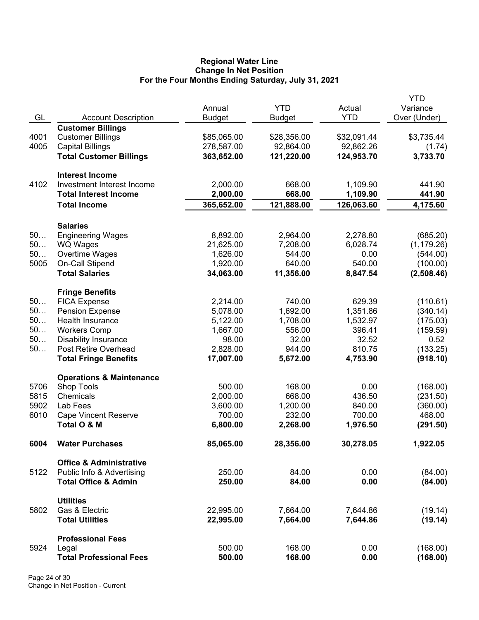### **Regional Water Line Change In Net Position For the Four Months Ending Saturday, July 31, 2021**

|      |                                                        |               |               |             | <b>YTD</b>   |
|------|--------------------------------------------------------|---------------|---------------|-------------|--------------|
|      |                                                        | Annual        | <b>YTD</b>    | Actual      | Variance     |
| GL   | <b>Account Description</b><br><b>Customer Billings</b> | <b>Budget</b> | <b>Budget</b> | <b>YTD</b>  | Over (Under) |
| 4001 | <b>Customer Billings</b>                               | \$85,065.00   | \$28,356.00   | \$32,091.44 | \$3,735.44   |
| 4005 | <b>Capital Billings</b>                                | 278,587.00    | 92,864.00     | 92,862.26   | (1.74)       |
|      | <b>Total Customer Billings</b>                         | 363,652.00    | 121,220.00    | 124,953.70  | 3,733.70     |
|      |                                                        |               |               |             |              |
|      | <b>Interest Income</b>                                 |               |               |             |              |
| 4102 | Investment Interest Income                             | 2,000.00      | 668.00        | 1,109.90    | 441.90       |
|      | <b>Total Interest Income</b>                           | 2,000.00      | 668.00        | 1,109.90    | 441.90       |
|      | <b>Total Income</b>                                    | 365,652.00    | 121,888.00    | 126,063.60  | 4,175.60     |
|      |                                                        |               |               |             |              |
|      | <b>Salaries</b>                                        |               |               |             |              |
| 50   | <b>Engineering Wages</b>                               | 8,892.00      | 2,964.00      | 2,278.80    | (685.20)     |
| 50   | WQ Wages                                               | 21,625.00     | 7,208.00      | 6,028.74    | (1, 179.26)  |
| 50   | Overtime Wages                                         | 1,626.00      | 544.00        | 0.00        | (544.00)     |
| 5005 | On-Call Stipend                                        | 1,920.00      | 640.00        | 540.00      | (100.00)     |
|      | <b>Total Salaries</b>                                  | 34,063.00     | 11,356.00     | 8,847.54    | (2,508.46)   |
|      | <b>Fringe Benefits</b>                                 |               |               |             |              |
| 50   | <b>FICA Expense</b>                                    | 2,214.00      | 740.00        | 629.39      | (110.61)     |
| 50   | <b>Pension Expense</b>                                 | 5,078.00      | 1,692.00      | 1,351.86    | (340.14)     |
| 50   | Health Insurance                                       | 5,122.00      | 1,708.00      | 1,532.97    | (175.03)     |
| 50   | <b>Workers Comp</b>                                    | 1,667.00      | 556.00        | 396.41      | (159.59)     |
| 50   | <b>Disability Insurance</b>                            | 98.00         | 32.00         | 32.52       | 0.52         |
| $50$ | Post Retire Overhead                                   | 2,828.00      | 944.00        | 810.75      | (133.25)     |
|      | <b>Total Fringe Benefits</b>                           | 17,007.00     | 5,672.00      | 4,753.90    | (918.10)     |
|      |                                                        |               |               |             |              |
|      | <b>Operations &amp; Maintenance</b>                    |               |               |             |              |
| 5706 | Shop Tools                                             | 500.00        | 168.00        | 0.00        | (168.00)     |
| 5815 | Chemicals                                              | 2,000.00      | 668.00        | 436.50      | (231.50)     |
| 5902 | Lab Fees                                               | 3,600.00      | 1,200.00      | 840.00      | (360.00)     |
| 6010 | <b>Cape Vincent Reserve</b>                            | 700.00        | 232.00        | 700.00      | 468.00       |
|      | Total O & M                                            | 6,800.00      | 2,268.00      | 1,976.50    | (291.50)     |
| 6004 | <b>Water Purchases</b>                                 | 85,065.00     | 28,356.00     | 30,278.05   | 1,922.05     |
|      | <b>Office &amp; Administrative</b>                     |               |               |             |              |
| 5122 | Public Info & Advertising                              | 250.00        | 84.00         | 0.00        | (84.00)      |
|      | <b>Total Office &amp; Admin</b>                        | 250.00        | 84.00         | 0.00        | (84.00)      |
|      |                                                        |               |               |             |              |
|      | <b>Utilities</b>                                       |               |               |             |              |
| 5802 | Gas & Electric                                         | 22,995.00     | 7,664.00      | 7,644.86    | (19.14)      |
|      | <b>Total Utilities</b>                                 | 22,995.00     | 7,664.00      | 7,644.86    | (19.14)      |
|      | <b>Professional Fees</b>                               |               |               |             |              |
| 5924 | Legal                                                  | 500.00        | 168.00        | 0.00        | (168.00)     |
|      | <b>Total Professional Fees</b>                         | 500.00        | 168.00        | 0.00        | (168.00)     |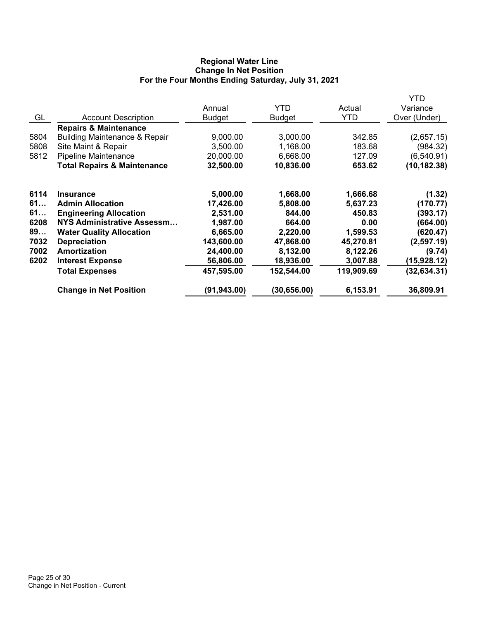## **Regional Water Line Change In Net Position For the Four Months Ending Saturday, July 31, 2021**

|      |                                          |               |               |            | YTD          |
|------|------------------------------------------|---------------|---------------|------------|--------------|
|      |                                          | Annual        | <b>YTD</b>    | Actual     | Variance     |
| GL   | <b>Account Description</b>               | <b>Budget</b> | <b>Budget</b> | YTD        | Over (Under) |
|      | <b>Repairs &amp; Maintenance</b>         |               |               |            |              |
| 5804 | <b>Building Maintenance &amp; Repair</b> | 9,000.00      | 3,000.00      | 342.85     | (2,657.15)   |
| 5808 | Site Maint & Repair                      | 3,500.00      | 1,168.00      | 183.68     | (984.32)     |
| 5812 | <b>Pipeline Maintenance</b>              | 20,000.00     | 6,668.00      | 127.09     | (6,540.91)   |
|      | <b>Total Repairs &amp; Maintenance</b>   | 32,500.00     | 10,836.00     | 653.62     | (10, 182.38) |
| 6114 | <b>Insurance</b>                         | 5,000.00      | 1,668.00      | 1,666.68   | (1.32)       |
| 61   | <b>Admin Allocation</b>                  | 17,426.00     | 5,808.00      | 5,637.23   | (170.77)     |
| 61   | <b>Engineering Allocation</b>            | 2,531.00      | 844.00        | 450.83     | (393.17)     |
| 6208 | <b>NYS Administrative Assessm</b>        | 1,987.00      | 664.00        | 0.00       | (664.00)     |
| 89   | <b>Water Quality Allocation</b>          | 6,665.00      | 2,220.00      | 1,599.53   | (620.47)     |
| 7032 | <b>Depreciation</b>                      | 143,600.00    | 47,868.00     | 45,270.81  | (2,597.19)   |
| 7002 | Amortization                             | 24,400.00     | 8,132.00      | 8,122.26   | (9.74)       |
| 6202 | <b>Interest Expense</b>                  | 56,806.00     | 18,936.00     | 3,007.88   | (15, 928.12) |
|      | <b>Total Expenses</b>                    | 457,595.00    | 152,544.00    | 119,909.69 | (32, 634.31) |
|      | <b>Change in Net Position</b>            | (91, 943.00)  | (30, 656.00)  | 6,153.91   | 36,809.91    |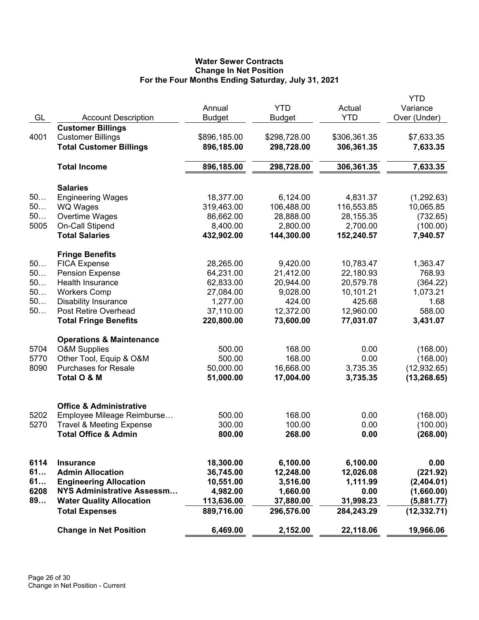# **Water Sewer Contracts Change In Net Position For the Four Months Ending Saturday, July 31, 2021**

|      |                                                                        |               |               |              | YTD          |
|------|------------------------------------------------------------------------|---------------|---------------|--------------|--------------|
|      |                                                                        | Annual        | <b>YTD</b>    | Actual       | Variance     |
| GL   | <b>Account Description</b>                                             | <b>Budget</b> | <b>Budget</b> | <b>YTD</b>   | Over (Under) |
|      | <b>Customer Billings</b>                                               |               |               |              |              |
| 4001 | <b>Customer Billings</b>                                               | \$896,185.00  | \$298,728.00  | \$306,361.35 | \$7,633.35   |
|      | <b>Total Customer Billings</b>                                         | 896,185.00    | 298,728.00    | 306,361.35   | 7,633.35     |
|      | <b>Total Income</b>                                                    | 896,185.00    | 298,728.00    | 306,361.35   | 7,633.35     |
|      | <b>Salaries</b>                                                        |               |               |              |              |
| 50   | <b>Engineering Wages</b>                                               | 18,377.00     | 6,124.00      | 4,831.37     | (1, 292.63)  |
| 50   | <b>WQ Wages</b>                                                        | 319,463.00    | 106,488.00    | 116,553.85   | 10,065.85    |
| 50   | Overtime Wages                                                         | 86,662.00     | 28,888.00     | 28,155.35    | (732.65)     |
| 5005 | On-Call Stipend                                                        | 8,400.00      | 2,800.00      | 2,700.00     | (100.00)     |
|      | <b>Total Salaries</b>                                                  | 432,902.00    | 144,300.00    | 152,240.57   | 7,940.57     |
|      | <b>Fringe Benefits</b>                                                 |               |               |              |              |
| 50   | <b>FICA Expense</b>                                                    | 28,265.00     | 9,420.00      | 10,783.47    | 1,363.47     |
| 50   | <b>Pension Expense</b>                                                 | 64,231.00     | 21,412.00     | 22,180.93    | 768.93       |
| 50   | <b>Health Insurance</b>                                                | 62,833.00     | 20,944.00     | 20,579.78    | (364.22)     |
| 50   | <b>Workers Comp</b>                                                    | 27,084.00     | 9,028.00      | 10,101.21    | 1,073.21     |
| 50   | <b>Disability Insurance</b>                                            | 1,277.00      | 424.00        | 425.68       | 1.68         |
| 50   | Post Retire Overhead                                                   | 37,110.00     | 12,372.00     | 12,960.00    | 588.00       |
|      | <b>Total Fringe Benefits</b>                                           | 220,800.00    | 73,600.00     | 77,031.07    | 3,431.07     |
|      | <b>Operations &amp; Maintenance</b>                                    |               |               |              |              |
| 5704 | <b>O&amp;M Supplies</b>                                                | 500.00        | 168.00        | 0.00         | (168.00)     |
| 5770 | Other Tool, Equip & O&M                                                | 500.00        | 168.00        | 0.00         | (168.00)     |
| 8090 | <b>Purchases for Resale</b>                                            | 50,000.00     | 16,668.00     | 3,735.35     | (12, 932.65) |
|      | Total O & M                                                            | 51,000.00     | 17,004.00     | 3,735.35     | (13, 268.65) |
|      |                                                                        |               |               |              |              |
| 5202 | <b>Office &amp; Administrative</b>                                     | 500.00        | 168.00        | 0.00         | (168.00)     |
| 5270 | Employee Mileage Reimburse                                             | 300.00        | 100.00        | 0.00         |              |
|      | <b>Travel &amp; Meeting Expense</b><br><b>Total Office &amp; Admin</b> | 800.00        | 268.00        | 0.00         | (100.00)     |
|      |                                                                        |               |               |              | (268.00)     |
| 6114 | <b>Insurance</b>                                                       | 18,300.00     | 6,100.00      | 6,100.00     | 0.00         |
| 61   | <b>Admin Allocation</b>                                                | 36,745.00     | 12,248.00     | 12,026.08    | (221.92)     |
| 61   | <b>Engineering Allocation</b>                                          | 10,551.00     | 3,516.00      | 1,111.99     | (2,404.01)   |
| 6208 | NYS Administrative Assessm                                             | 4,982.00      | 1,660.00      | 0.00         | (1,660.00)   |
| 89   | <b>Water Quality Allocation</b>                                        | 113,636.00    | 37,880.00     | 31,998.23    | (5,881.77)   |
|      | <b>Total Expenses</b>                                                  | 889,716.00    | 296,576.00    | 284,243.29   | (12, 332.71) |
|      | <b>Change in Net Position</b>                                          | 6,469.00      | 2,152.00      | 22,118.06    | 19,966.06    |
|      |                                                                        |               |               |              |              |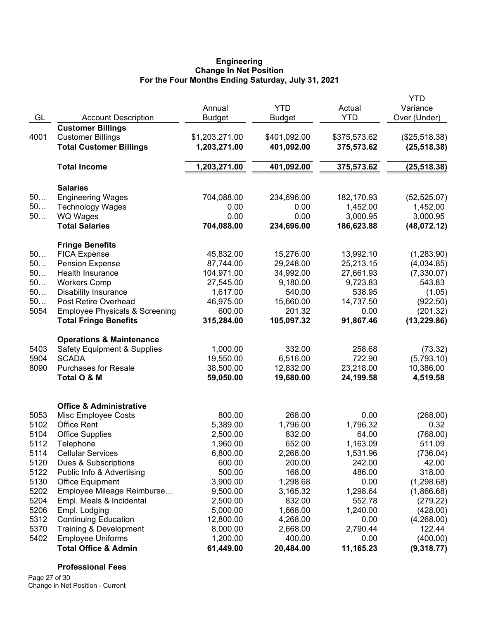#### **Engineering Change In Net Position For the Four Months Ending Saturday, July 31, 2021**

|      |                                           |                |               |              | <b>YTD</b>    |
|------|-------------------------------------------|----------------|---------------|--------------|---------------|
|      |                                           | Annual         | <b>YTD</b>    | Actual       | Variance      |
| GL   | <b>Account Description</b>                | <b>Budget</b>  | <b>Budget</b> | <b>YTD</b>   | Over (Under)  |
|      | <b>Customer Billings</b>                  |                |               |              |               |
| 4001 | <b>Customer Billings</b>                  | \$1,203,271.00 | \$401,092.00  | \$375,573.62 | (\$25,518.38) |
|      | <b>Total Customer Billings</b>            | 1,203,271.00   | 401,092.00    | 375,573.62   | (25, 518.38)  |
|      | <b>Total Income</b>                       | 1,203,271.00   | 401,092.00    | 375,573.62   | (25, 518.38)  |
|      | <b>Salaries</b>                           |                |               |              |               |
| 50   | <b>Engineering Wages</b>                  | 704,088.00     | 234,696.00    | 182,170.93   | (52, 525.07)  |
| 50   | <b>Technology Wages</b>                   | 0.00           | 0.00          | 1,452.00     | 1,452.00      |
| 50   | <b>WQ Wages</b>                           | 0.00           | 0.00          | 3,000.95     | 3,000.95      |
|      | <b>Total Salaries</b>                     | 704,088.00     | 234,696.00    | 186,623.88   | (48,072.12)   |
|      | <b>Fringe Benefits</b>                    |                |               |              |               |
| 50   | <b>FICA Expense</b>                       | 45,832.00      | 15,276.00     | 13,992.10    | (1,283.90)    |
| 50   | <b>Pension Expense</b>                    | 87,744.00      | 29,248.00     | 25,213.15    | (4,034.85)    |
| 50   | Health Insurance                          | 104,971.00     | 34,992.00     | 27,661.93    | (7,330.07)    |
| 50   | <b>Workers Comp</b>                       | 27,545.00      | 9,180.00      | 9,723.83     | 543.83        |
| 50   | <b>Disability Insurance</b>               | 1,617.00       | 540.00        | 538.95       | (1.05)        |
| 50   | Post Retire Overhead                      | 46,975.00      | 15,660.00     | 14,737.50    | (922.50)      |
| 5054 | <b>Employee Physicals &amp; Screening</b> | 600.00         | 201.32        | 0.00         | (201.32)      |
|      | <b>Total Fringe Benefits</b>              | 315,284.00     | 105,097.32    | 91,867.46    | (13, 229.86)  |
|      | <b>Operations &amp; Maintenance</b>       |                |               |              |               |
| 5403 | <b>Safety Equipment &amp; Supplies</b>    | 1,000.00       | 332.00        | 258.68       | (73.32)       |
| 5904 | <b>SCADA</b>                              | 19,550.00      | 6,516.00      | 722.90       | (5,793.10)    |
| 8090 | <b>Purchases for Resale</b>               | 38,500.00      | 12,832.00     | 23,218.00    | 10,386.00     |
|      | Total O & M                               | 59,050.00      | 19,680.00     | 24,199.58    | 4,519.58      |
|      | <b>Office &amp; Administrative</b>        |                |               |              |               |
| 5053 | Misc Employee Costs                       | 800.00         | 268.00        | 0.00         | (268.00)      |
| 5102 | <b>Office Rent</b>                        | 5,389.00       | 1,796.00      | 1,796.32     | 0.32          |
| 5104 | <b>Office Supplies</b>                    | 2,500.00       | 832.00        | 64.00        | (768.00)      |
| 5112 | Telephone                                 | 1,960.00       | 652.00        | 1,163.09     | 511.09        |
| 5114 | <b>Cellular Services</b>                  | 6,800.00       | 2,268.00      | 1,531.96     | (736.04)      |
| 5120 | Dues & Subscriptions                      | 600.00         | 200.00        | 242.00       | 42.00         |
| 5122 | Public Info & Advertising                 | 500.00         | 168.00        | 486.00       | 318.00        |
| 5130 | <b>Office Equipment</b>                   | 3,900.00       | 1,298.68      | 0.00         | (1,298.68)    |
| 5202 | Employee Mileage Reimburse                | 9,500.00       | 3,165.32      | 1,298.64     | (1,866.68)    |
| 5204 | Empl. Meals & Incidental                  | 2,500.00       | 832.00        | 552.78       | (279.22)      |
| 5206 | Empl. Lodging                             | 5,000.00       | 1,668.00      | 1,240.00     | (428.00)      |
| 5312 | <b>Continuing Education</b>               | 12,800.00      | 4,268.00      | 0.00         | (4,268.00)    |
| 5370 | Training & Development                    | 8,000.00       | 2,668.00      | 2,790.44     | 122.44        |
| 5402 | <b>Employee Uniforms</b>                  | 1,200.00       | 400.00        | 0.00         | (400.00)      |
|      | <b>Total Office &amp; Admin</b>           | 61,449.00      | 20,484.00     | 11,165.23    | (9,318.77)    |

## **Professional Fees**

Page 27 of 30 Change in Net Position - Current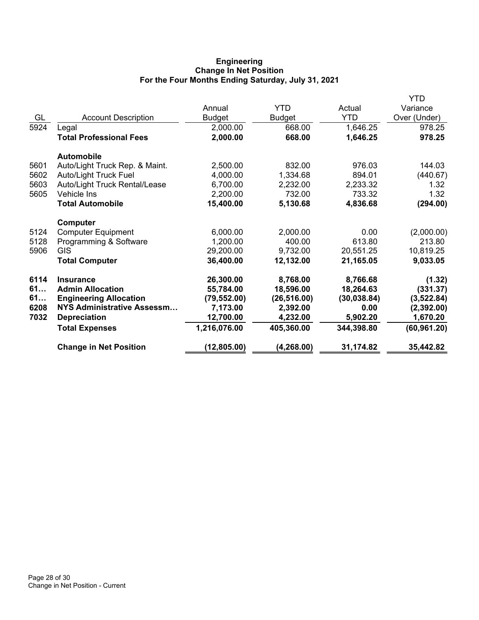## **Engineering Change In Net Position For the Four Months Ending Saturday, July 31, 2021**

|                                   |              |               |              | <b>YTD</b>   |
|-----------------------------------|--------------|---------------|--------------|--------------|
|                                   | Annual       | <b>YTD</b>    | Actual       | Variance     |
| <b>Account Description</b>        | Budget       | <b>Budget</b> | <b>YTD</b>   | Over (Under) |
|                                   | 2,000.00     | 668.00        | 1,646.25     | 978.25       |
| <b>Total Professional Fees</b>    | 2,000.00     | 668.00        | 1,646.25     | 978.25       |
| <b>Automobile</b>                 |              |               |              |              |
| Auto/Light Truck Rep. & Maint.    | 2,500.00     | 832.00        | 976.03       | 144.03       |
| <b>Auto/Light Truck Fuel</b>      | 4,000.00     | 1,334.68      | 894.01       | (440.67)     |
| Auto/Light Truck Rental/Lease     | 6,700.00     | 2,232.00      | 2,233.32     | 1.32         |
| Vehicle Ins                       | 2,200.00     | 732.00        | 733.32       | 1.32         |
| <b>Total Automobile</b>           | 15,400.00    | 5,130.68      | 4,836.68     | (294.00)     |
| Computer                          |              |               |              |              |
| <b>Computer Equipment</b>         | 6,000.00     | 2,000.00      | 0.00         | (2,000.00)   |
| Programming & Software            | 1,200.00     | 400.00        | 613.80       | 213.80       |
| <b>GIS</b>                        | 29,200.00    | 9,732.00      | 20,551.25    | 10,819.25    |
| <b>Total Computer</b>             | 36,400.00    | 12,132.00     | 21,165.05    | 9,033.05     |
| <b>Insurance</b>                  | 26,300.00    | 8,768.00      | 8,766.68     | (1.32)       |
| <b>Admin Allocation</b>           | 55,784.00    | 18,596.00     | 18,264.63    | (331.37)     |
| <b>Engineering Allocation</b>     | (79, 552.00) | (26, 516.00)  | (30, 038.84) | (3,522.84)   |
| <b>NYS Administrative Assessm</b> | 7,173.00     | 2,392.00      | 0.00         | (2, 392.00)  |
| <b>Depreciation</b>               | 12,700.00    | 4,232.00      | 5,902.20     | 1,670.20     |
| <b>Total Expenses</b>             | 1,216,076.00 | 405,360.00    | 344,398.80   | (60, 961.20) |
| <b>Change in Net Position</b>     | (12, 805.00) | (4, 268.00)   | 31,174.82    | 35,442.82    |
|                                   | Legal        |               |              |              |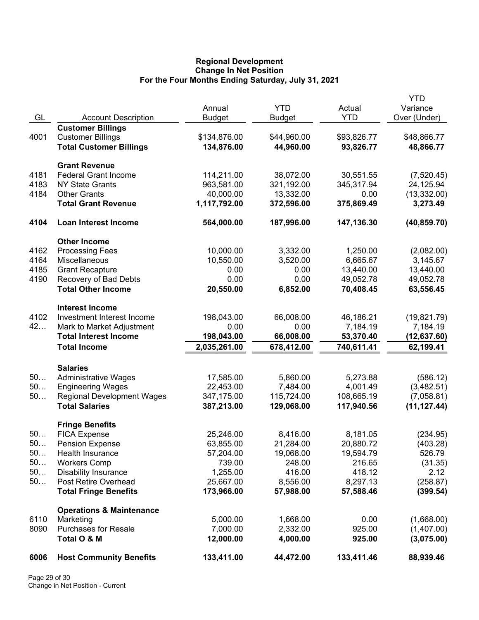## **Regional Development Change In Net Position For the Four Months Ending Saturday, July 31, 2021**

|          |                                         | Annual              | <b>YTD</b>          | Actual              | YTD<br>Variance   |
|----------|-----------------------------------------|---------------------|---------------------|---------------------|-------------------|
| GL       | <b>Account Description</b>              | <b>Budget</b>       | <b>Budget</b>       | <b>YTD</b>          | Over (Under)      |
|          | <b>Customer Billings</b>                |                     |                     |                     |                   |
| 4001     | <b>Customer Billings</b>                | \$134,876.00        | \$44,960.00         | \$93,826.77         | \$48,866.77       |
|          | <b>Total Customer Billings</b>          | 134,876.00          | 44,960.00           | 93,826.77           | 48,866.77         |
|          | <b>Grant Revenue</b>                    |                     |                     |                     |                   |
| 4181     | <b>Federal Grant Income</b>             | 114,211.00          | 38,072.00           | 30,551.55           | (7,520.45)        |
| 4183     | <b>NY State Grants</b>                  | 963,581.00          | 321,192.00          | 345,317.94          | 24,125.94         |
| 4184     | <b>Other Grants</b>                     | 40,000.00           | 13,332.00           | 0.00                | (13, 332.00)      |
|          | <b>Total Grant Revenue</b>              | 1,117,792.00        | 372,596.00          | 375,869.49          | 3,273.49          |
| 4104     | Loan Interest Income                    | 564,000.00          | 187,996.00          | 147,136.30          | (40, 859.70)      |
|          | <b>Other Income</b>                     |                     |                     |                     |                   |
| 4162     | <b>Processing Fees</b>                  | 10,000.00           | 3,332.00            | 1,250.00            | (2,082.00)        |
| 4164     | Miscellaneous                           | 10,550.00           | 3,520.00            | 6,665.67            | 3,145.67          |
| 4185     | <b>Grant Recapture</b>                  | 0.00                | 0.00                | 13,440.00           | 13,440.00         |
| 4190     | Recovery of Bad Debts                   | 0.00                | 0.00                | 49,052.78           | 49,052.78         |
|          | <b>Total Other Income</b>               | 20,550.00           | 6,852.00            | 70,408.45           | 63,556.45         |
|          | <b>Interest Income</b>                  |                     |                     |                     |                   |
| 4102     | Investment Interest Income              | 198,043.00          | 66,008.00           | 46,186.21           | (19,821.79)       |
| 42       | Mark to Market Adjustment               | 0.00                | 0.00                | 7,184.19            | 7,184.19          |
|          | <b>Total Interest Income</b>            | 198,043.00          | 66,008.00           | 53,370.40           | (12,637.60)       |
|          | <b>Total Income</b>                     | 2,035,261.00        | 678,412.00          | 740,611.41          | 62,199.41         |
|          | <b>Salaries</b>                         |                     |                     |                     |                   |
| 50       | <b>Administrative Wages</b>             | 17,585.00           | 5,860.00            | 5,273.88            | (586.12)          |
| 50       | <b>Engineering Wages</b>                | 22,453.00           | 7,484.00            | 4,001.49            | (3,482.51)        |
| $50$     | <b>Regional Development Wages</b>       | 347,175.00          | 115,724.00          | 108,665.19          | (7,058.81)        |
|          | <b>Total Salaries</b>                   | 387,213.00          | 129,068.00          | 117,940.56          | (11, 127.44)      |
|          | <b>Fringe Benefits</b>                  |                     |                     |                     |                   |
| 50       | <b>FICA Expense</b>                     | 25,246.00           | 8,416.00            | 8,181.05            | (234.95)          |
| 50       | <b>Pension Expense</b>                  | 63,855.00           | 21,284.00           | 20,880.72           | (403.28)          |
| 50<br>50 | Health Insurance<br><b>Workers Comp</b> | 57,204.00<br>739.00 | 19,068.00<br>248.00 | 19,594.79<br>216.65 | 526.79<br>(31.35) |
| 50       | <b>Disability Insurance</b>             | 1,255.00            | 416.00              | 418.12              | 2.12              |
| 50       | Post Retire Overhead                    | 25,667.00           | 8,556.00            | 8,297.13            | (258.87)          |
|          | <b>Total Fringe Benefits</b>            | 173,966.00          | 57,988.00           | 57,588.46           | (399.54)          |
|          | <b>Operations &amp; Maintenance</b>     |                     |                     |                     |                   |
| 6110     | Marketing                               | 5,000.00            | 1,668.00            | 0.00                | (1,668.00)        |
| 8090     | <b>Purchases for Resale</b>             | 7,000.00            | 2,332.00            | 925.00              | (1,407.00)        |
|          | Total O & M                             | 12,000.00           | 4,000.00            | 925.00              | (3,075.00)        |
| 6006     | <b>Host Community Benefits</b>          | 133,411.00          | 44,472.00           | 133,411.46          | 88,939.46         |